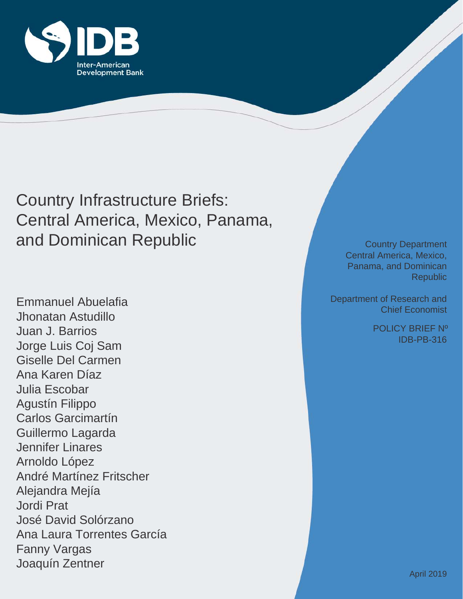

Country Infrastructure Briefs: Central America, Mexico, Panama, and Dominican Republic

Emmanuel Abuelafia Jhonatan Astudillo Juan J. Barrios Jorge Luis Coj Sam Giselle Del Carmen Ana Karen Díaz Julia Escobar Agustín Filippo Carlos Garcimartín Guillermo Lagarda Jennifer Linares Arnoldo López André Martínez Fritscher Alejandra Mejía Jordi Prat José David Solórzano Ana Laura Torrentes García Fanny Vargas Joaquín Zentner

Country Department Central America, Mexico, Panama, and Dominican Republic

Department of Research and Chief Economist

> IDB-PB-316 POLICY BRIEF Nº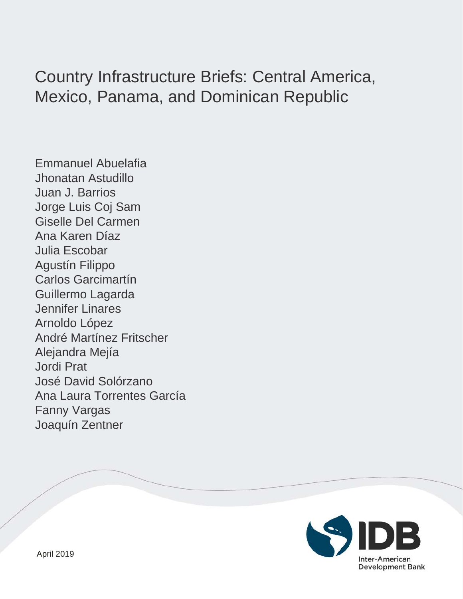# Country Infrastructure Briefs: Central America, Mexico, Panama, and Dominican Republic

Emmanuel Abuelafia Jhonatan Astudillo Juan J. Barrios Jorge Luis Coj Sam Giselle Del Carmen Ana Karen Díaz Julia Escobar Agustín Filippo Carlos Garcimartín Guillermo Lagarda Jennifer Linares Arnoldo López André Martínez Fritscher Alejandra Mejía Jordi Prat José David Solórzano Ana Laura Torrentes García Fanny Vargas Joaquín Zentner

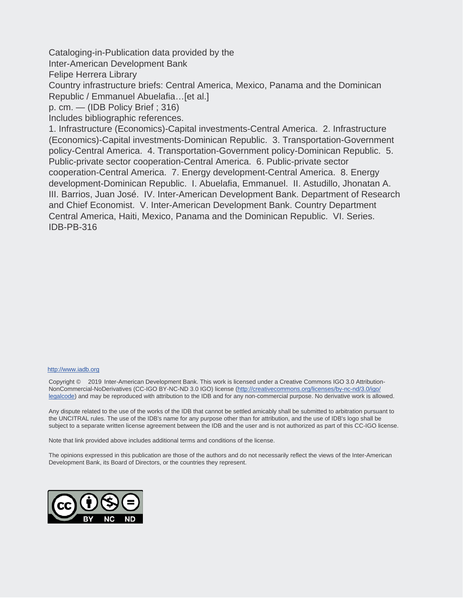Cataloging-in-Publication data provided by the

Inter-American Development Bank

Felipe Herrera Library

Country infrastructure briefs: Central America, Mexico, Panama and the Dominican Republic / Emmanuel Abuelafia…[et al.]

p. cm. — (IDB Policy Brief ; 316)

Includes bibliographic references.

1. Infrastructure (Economics)-Capital investments-Central America. 2. Infrastructure (Economics)-Capital investments-Dominican Republic. 3. Transportation-Government policy-Central America. 4. Transportation-Government policy-Dominican Republic. 5. Public-private sector cooperation-Central America. 6. Public-private sector cooperation-Central America. 7. Energy development-Central America. 8. Energy development-Dominican Republic. I. Abuelafia, Emmanuel. II. Astudillo, Jhonatan A. III. Barrios, Juan José. IV. Inter-American Development Bank. Department of Research and Chief Economist. V. Inter-American Development Bank. Country Department Central America, Haiti, Mexico, Panama and the Dominican Republic. VI. Series. IDB-PB-316

#### http://www.iadb.org

Copyright © 2019 Inter-American Development Bank. This work is licensed under a Creative Commons IGO 3.0 Attribution-NonCommercial-NoDerivatives (CC-IGO BY-NC-ND 3.0 IGO) license (http://creativecommons.org/licenses/by-nc-nd/3.0/igo/ legalcode) and may be reproduced with attribution to the IDB and for any non-commercial purpose. No derivative work is allowed.

Any dispute related to the use of the works of the IDB that cannot be settled amicably shall be submitted to arbitration pursuant to the UNCITRAL rules. The use of the IDB's name for any purpose other than for attribution, and the use of IDB's logo shall be subject to a separate written license agreement between the IDB and the user and is not authorized as part of this CC-IGO license.

Note that link provided above includes additional terms and conditions of the license.

The opinions expressed in this publication are those of the authors and do not necessarily reflect the views of the Inter-American Development Bank, its Board of Directors, or the countries they represent.

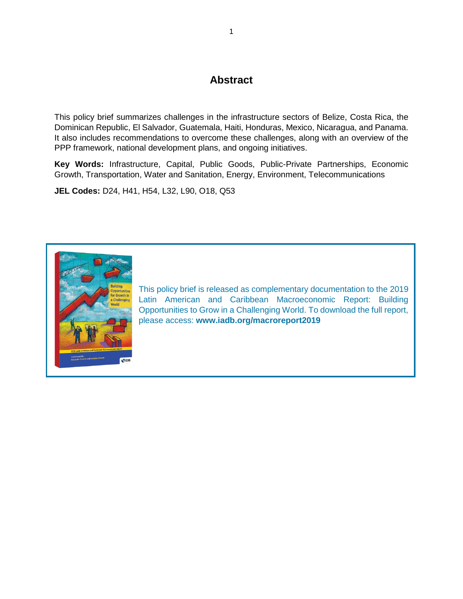## **Abstract**

This policy brief summarizes challenges in the infrastructure sectors of Belize, Costa Rica, the Dominican Republic, El Salvador, Guatemala, Haiti, Honduras, Mexico, Nicaragua, and Panama. It also includes recommendations to overcome these challenges, along with an overview of the PPP framework, national development plans, and ongoing initiatives.

**Key Words:** Infrastructure, Capital, Public Goods, Public-Private Partnerships, Economic Growth, Transportation, Water and Sanitation, Energy, Environment, Telecommunications

**JEL Codes:** D24, H41, H54, L32, L90, O18, Q53



[This policy brief is released as complementary documentation to the](http://www.iadb.org/macroreport2019) 2019 Latin American and [Caribbean Macroeconomic Report: Building](http://www.iadb.org/macroreport2019)  [Opportunities to Grow in a Challenging World. To download the full report,](http://www.iadb.org/macroreport2019)  please access: **[www.iadb.org/macroreport2019](http://www.iadb.org/macroreport2019)**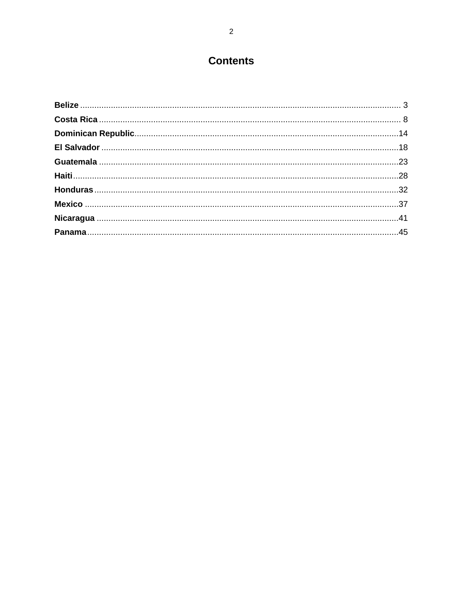## **Contents**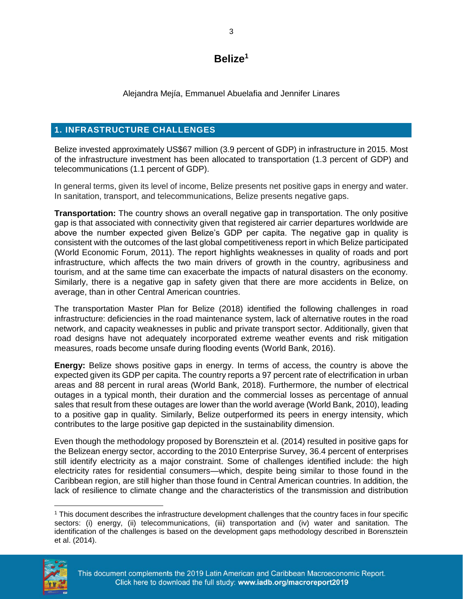## **Belize<sup>1</sup>**

Alejandra Mejía, Emmanuel Abuelafia and Jennifer Linares

#### <span id="page-5-0"></span>**1. INFRASTRUCTURE CHALLENGES**

Belize invested approximately US\$67 million (3.9 percent of GDP) in infrastructure in 2015. Most of the infrastructure investment has been allocated to transportation (1.3 percent of GDP) and telecommunications (1.1 percent of GDP).

In general terms, given its level of income, Belize presents net positive gaps in energy and water. In sanitation, transport, and telecommunications, Belize presents negative gaps.

**Transportation:** The country shows an overall negative gap in transportation. The only positive gap is that associated with connectivity given that registered air carrier departures worldwide are above the number expected given Belize's GDP per capita. The negative gap in quality is consistent with the outcomes of the last global competitiveness report in which Belize participated (World Economic Forum, 2011). The report highlights weaknesses in quality of roads and port infrastructure, which affects the two main drivers of growth in the country, agribusiness and tourism, and at the same time can exacerbate the impacts of natural disasters on the economy. Similarly, there is a negative gap in safety given that there are more accidents in Belize, on average, than in other Central American countries.

The transportation Master Plan for Belize (2018) identified the following challenges in road infrastructure: deficiencies in the road maintenance system, lack of alternative routes in the road network, and capacity weaknesses in public and private transport sector. Additionally, given that road designs have not adequately incorporated extreme weather events and risk mitigation measures, roads become unsafe during flooding events (World Bank, 2016).

**Energy:** Belize shows positive gaps in energy. In terms of access, the country is above the expected given its GDP per capita. The country reports a 97 percent rate of electrification in urban areas and 88 percent in rural areas (World Bank, 2018). Furthermore, the number of electrical outages in a typical month, their duration and the commercial losses as percentage of annual sales that result from these outages are lower than the world average (World Bank, 2010), leading to a positive gap in quality. Similarly, Belize outperformed its peers in energy intensity, which contributes to the large positive gap depicted in the sustainability dimension.

Even though the methodology proposed by Borensztein et al. (2014) resulted in positive gaps for the Belizean energy sector, according to the 2010 Enterprise Survey, 36.4 percent of enterprises still identify electricity as a major constraint. Some of challenges identified include: the high electricity rates for residential consumers—which, despite being similar to those found in the Caribbean region, are still higher than those found in Central American countries. In addition, the lack of resilience to climate change and the characteristics of the transmission and distribution

 $\overline{a}$ <sup>1</sup> This document describes the infrastructure development challenges that the country faces in four specific sectors: (i) energy, (ii) telecommunications, (iii) transportation and (iv) water and sanitation. The identification of the challenges is based on the development gaps methodology described in Borensztein et al. (2014).

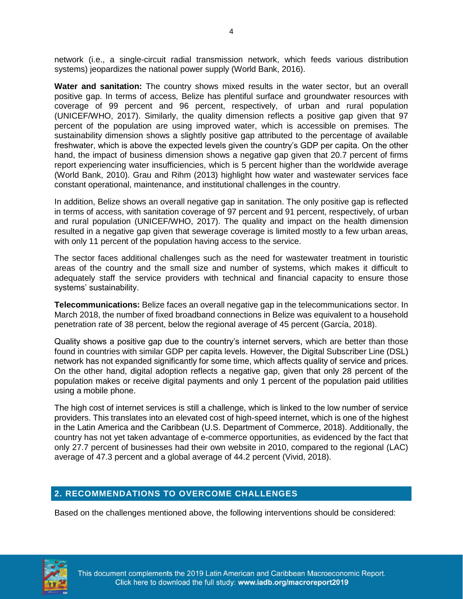network (i.e., a single-circuit radial transmission network, which feeds various distribution systems) jeopardizes the national power supply (World Bank, 2016).

**Water and sanitation:** The country shows mixed results in the water sector, but an overall positive gap. In terms of access, Belize has plentiful surface and groundwater resources with coverage of 99 percent and 96 percent, respectively, of urban and rural population (UNICEF/WHO, 2017). Similarly, the quality dimension reflects a positive gap given that 97 percent of the population are using improved water, which is accessible on premises. The sustainability dimension shows a slightly positive gap attributed to the percentage of available freshwater, which is above the expected levels given the country's GDP per capita. On the other hand, the impact of business dimension shows a negative gap given that 20.7 percent of firms report experiencing water insufficiencies, which is 5 percent higher than the worldwide average (World Bank, 2010). Grau and Rihm (2013) highlight how water and wastewater services face constant operational, maintenance, and institutional challenges in the country.

In addition, Belize shows an overall negative gap in sanitation. The only positive gap is reflected in terms of access, with sanitation coverage of 97 percent and 91 percent, respectively, of urban and rural population (UNICEF/WHO, 2017). The quality and impact on the health dimension resulted in a negative gap given that sewerage coverage is limited mostly to a few urban areas, with only 11 percent of the population having access to the service.

The sector faces additional challenges such as the need for wastewater treatment in touristic areas of the country and the small size and number of systems, which makes it difficult to adequately staff the service providers with technical and financial capacity to ensure those systems' sustainability.

**Telecommunications:** Belize faces an overall negative gap in the telecommunications sector. In March 2018, the number of fixed broadband connections in Belize was equivalent to a household penetration rate of 38 percent, below the regional average of 45 percent (García, 2018).

Quality shows a positive gap due to the country's internet servers, which are better than those found in countries with similar GDP per capita levels. However, the Digital Subscriber Line (DSL) network has not expanded significantly for some time, which affects quality of service and prices. On the other hand, digital adoption reflects a negative gap, given that only 28 percent of the population makes or receive digital payments and only 1 percent of the population paid utilities using a mobile phone.

The high cost of internet services is still a challenge, which is linked to the low number of service providers. This translates into an elevated cost of high-speed internet, which is one of the highest in the Latin America and the Caribbean (U.S. Department of Commerce, 2018). Additionally, the country has not yet taken advantage of e-commerce opportunities, as evidenced by the fact that only 27.7 percent of businesses had their own website in 2010, compared to the regional (LAC) average of 47.3 percent and a global average of 44.2 percent (Vivid, 2018).

#### **2. RECOMMENDATIONS TO OVERCOME CHALLENGES**

Based on the challenges mentioned above, the following interventions should be considered:

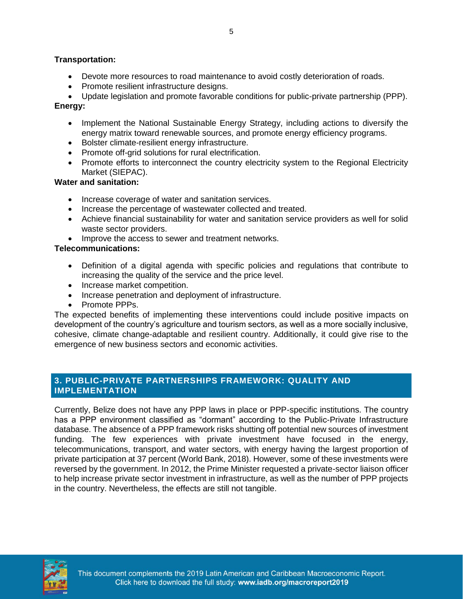#### **Transportation:**

- Devote more resources to road maintenance to avoid costly deterioration of roads.
- Promote resilient infrastructure designs.

• Update legislation and promote favorable conditions for public-private partnership (PPP). **Energy:** 

- Implement the National Sustainable Energy Strategy, including actions to diversify the energy matrix toward renewable sources, and promote energy efficiency programs.
- Bolster climate-resilient energy infrastructure.
- Promote off-grid solutions for rural electrification.
- Promote efforts to interconnect the country electricity system to the Regional Electricity Market (SIEPAC).

#### **Water and sanitation:**

- Increase coverage of water and sanitation services.
- Increase the percentage of wastewater collected and treated.
- Achieve financial sustainability for water and sanitation service providers as well for solid waste sector providers.
- Improve the access to sewer and treatment networks.

#### **Telecommunications:**

- Definition of a digital agenda with specific policies and regulations that contribute to increasing the quality of the service and the price level.
- Increase market competition.
- Increase penetration and deployment of infrastructure.
- Promote PPPs.

The expected benefits of implementing these interventions could include positive impacts on development of the country's agriculture and tourism sectors, as well as a more socially inclusive, cohesive, climate change-adaptable and resilient country. Additionally, it could give rise to the emergence of new business sectors and economic activities.

#### **3. PUBLIC-PRIVATE PARTNERSHIPS FRAMEWORK: QUALITY AND IMPLEMENTATION**

Currently, Belize does not have any PPP laws in place or PPP-specific institutions. The country has a PPP environment classified as "dormant" according to the Public-Private Infrastructure database. The absence of a PPP framework risks shutting off potential new sources of investment funding. The few experiences with private investment have focused in the energy, telecommunications, transport, and water sectors, with energy having the largest proportion of private participation at 37 percent (World Bank, 2018). However, some of these investments were reversed by the government. In 2012, the Prime Minister requested a private-sector liaison officer to help increase private sector investment in infrastructure, as well as the number of PPP projects in the country. Nevertheless, the effects are still not tangible.

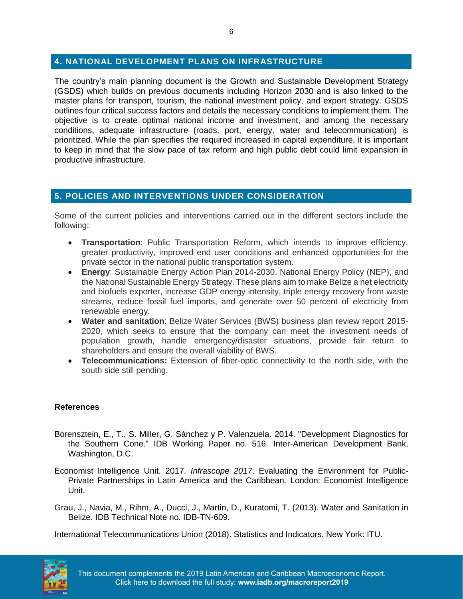#### **4. NATIONAL DEVELOPMENT PLANS ON INFRASTRUCTURE**

The country's main planning document is the Growth and Sustainable Development Strategy (GSDS) which builds on previous documents including Horizon 2030 and is also linked to the master plans for transport, tourism, the national investment policy, and export strategy. GSDS outlines four critical success factors and details the necessary conditions to implement them. The objective is to create optimal national income and investment, and among the necessary conditions, adequate infrastructure (roads, port, energy, water and telecommunication) is prioritized. While the plan specifies the required increased in capital expenditure, it is important to keep in mind that the slow pace of tax reform and high public debt could limit expansion in productive infrastructure.

#### **5. POLICIES AND INTERVENTIONS UNDER CONSIDERATION**

Some of the current policies and interventions carried out in the different sectors include the following:

- **Transportation**: Public Transportation Reform, which intends to improve efficiency, greater productivity, improved end user conditions and enhanced opportunities for the private sector in the national public transportation system.
- **Energy**: Sustainable Energy Action Plan 2014-2030, National Energy Policy (NEP), and the National Sustainable Energy Strategy. These plans aim to make Belize a net electricity and biofuels exporter, increase GDP energy intensity, triple energy recovery from waste streams, reduce fossil fuel imports, and generate over 50 percent of electricity from renewable energy.
- **Water and sanitation**: Belize Water Services (BWS) business plan review report 2015- 2020, which seeks to ensure that the company can meet the investment needs of population growth, handle emergency/disaster situations, provide fair return to shareholders and ensure the overall viability of BWS.
- **Telecommunications:** Extension of fiber-optic connectivity to the north side, with the south side still pending.

#### **References**

- Borensztein, E., T., S. Miller, G. Sánchez y P. Valenzuela. 2014. "Development Diagnostics for the Southern Cone." IDB Working Paper no. 516. Inter-American Development Bank, Washington, D.C.
- Economist Intelligence Unit. 2017. *Infrascope 2017*. Evaluating the Environment for Public-Private Partnerships in Latin America and the Caribbean*.* London: Economist Intelligence Unit.
- Grau, J., Navia, M., Rihm, A., Ducci, J., Martin, D., Kuratomi, T. (2013). Water and Sanitation in Belize. IDB Technical Note no. IDB-TN-609.

International Telecommunications Union (2018). Statistics and Indicators. New York: ITU.

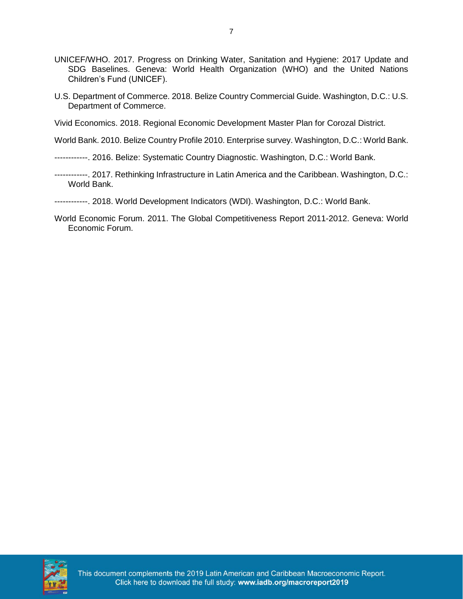- UNICEF/WHO. 2017. Progress on Drinking Water, Sanitation and Hygiene: 2017 Update and SDG Baselines. Geneva: World Health Organization (WHO) and the United Nations Children's Fund (UNICEF).
- U.S. Department of Commerce. 2018. Belize Country Commercial Guide. Washington, D.C.: U.S. Department of Commerce.

Vivid Economics. 2018. Regional Economic Development Master Plan for Corozal District.

World Bank. 2010. Belize Country Profile 2010. Enterprise survey. Washington, D.C.: World Bank.

------------. 2016. Belize: Systematic Country Diagnostic. Washington, D.C.: World Bank.

- ------------. 2017. Rethinking Infrastructure in Latin America and the Caribbean. Washington, D.C.: World Bank.
- ------------. 2018. World Development Indicators (WDI). Washington, D.C.: World Bank.
- World Economic Forum. 2011. The Global Competitiveness Report 2011-2012. Geneva: World Economic Forum.

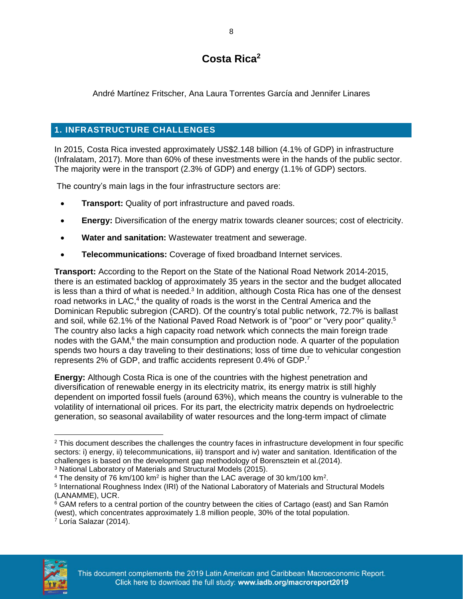## **Costa Rica<sup>2</sup>**

<span id="page-10-0"></span>André Martínez Fritscher, Ana Laura Torrentes García and Jennifer Linares

## **1. INFRASTRUCTURE CHALLENGES**

In 2015, Costa Rica invested approximately US\$2.148 billion (4.1% of GDP) in infrastructure (Infralatam, 2017). More than 60% of these investments were in the hands of the public sector. The majority were in the transport (2.3% of GDP) and energy (1.1% of GDP) sectors.

The country's main lags in the four infrastructure sectors are:

- **Transport:** Quality of port infrastructure and paved roads.
- **Energy:** Diversification of the energy matrix towards cleaner sources; cost of electricity.
- **Water and sanitation:** Wastewater treatment and sewerage.
- **Telecommunications:** Coverage of fixed broadband Internet services.

**Transport:** According to the Report on the State of the National Road Network 2014-2015, there is an estimated backlog of approximately 35 years in the sector and the budget allocated is less than a third of what is needed.<sup>3</sup> In addition, although Costa Rica has one of the densest road networks in LAC,<sup>4</sup> the quality of roads is the worst in the Central America and the Dominican Republic subregion (CARD). Of the country's total public network, 72.7% is ballast and soil, while 62.1% of the National Paved Road Network is of "poor" or "very poor" quality.<sup>5</sup> The country also lacks a high capacity road network which connects the main foreign trade nodes with the GAM,<sup>6</sup> the main consumption and production node. A quarter of the population spends two hours a day traveling to their destinations; loss of time due to vehicular congestion represents 2% of GDP, and traffic accidents represent 0.4% of GDP.<sup>7</sup>

**Energy:** Although Costa Rica is one of the countries with the highest penetration and diversification of renewable energy in its electricity matrix, its energy matrix is still highly dependent on imported fossil fuels (around 63%), which means the country is vulnerable to the volatility of international oil prices. For its part, the electricity matrix depends on hydroelectric generation, so seasonal availability of water resources and the long-term impact of climate

<sup>7</sup> Loría Salazar (2014).



 $\overline{\phantom{a}}$ <sup>2</sup> This document describes the challenges the country faces in infrastructure development in four specific sectors: i) energy, ii) telecommunications, iii) transport and iv) water and sanitation. Identification of the challenges is based on the development gap methodology of Borensztein et al.(2014). <sup>3</sup> National Laboratory of Materials and Structural Models (2015).

 $4$  The density of 76 km/100 km<sup>2</sup> is higher than the LAC average of 30 km/100 km<sup>2</sup>.

<sup>5</sup> International Roughness Index (IRI) of the National Laboratory of Materials and Structural Models (LANAMME), UCR.

 $6$  GAM refers to a central portion of the country between the cities of Cartago (east) and San Ramón (west), which concentrates approximately 1.8 million people, 30% of the total population.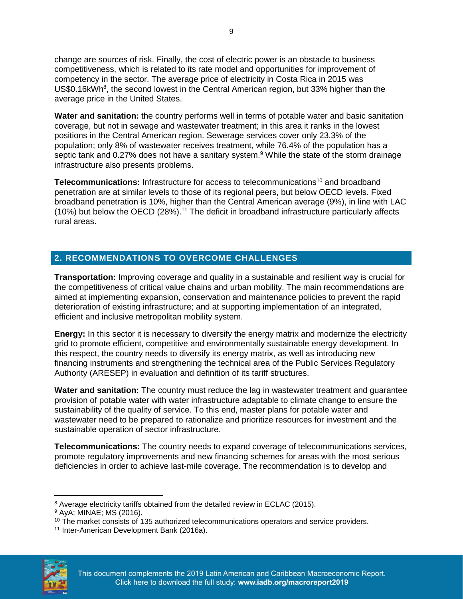change are sources of risk. Finally, the cost of electric power is an obstacle to business competitiveness, which is related to its rate model and opportunities for improvement of competency in the sector. The average price of electricity in Costa Rica in 2015 was US\$0.16kWh<sup>8</sup>, the second lowest in the Central American region, but 33% higher than the average price in the United States.

**Water and sanitation:** the country performs well in terms of potable water and basic sanitation coverage, but not in sewage and wastewater treatment; in this area it ranks in the lowest positions in the Central American region. Sewerage services cover only 23.3% of the population; only 8% of wastewater receives treatment, while 76.4% of the population has a septic tank and 0.27% does not have a sanitary system.<sup>9</sup> While the state of the storm drainage infrastructure also presents problems.

**Telecommunications:** Infrastructure for access to telecommunications<sup>10</sup> and broadband penetration are at similar levels to those of its regional peers, but below OECD levels. Fixed broadband penetration is 10%, higher than the Central American average (9%), in line with LAC (10%) but below the OECD (28%).<sup>11</sup> The deficit in broadband infrastructure particularly affects rural areas.

## **2. RECOMMENDATIONS TO OVERCOME CHALLENGES**

**Transportation:** Improving coverage and quality in a sustainable and resilient way is crucial for the competitiveness of critical value chains and urban mobility. The main recommendations are aimed at implementing expansion, conservation and maintenance policies to prevent the rapid deterioration of existing infrastructure; and at supporting implementation of an integrated, efficient and inclusive metropolitan mobility system.

**Energy:** In this sector it is necessary to diversify the energy matrix and modernize the electricity grid to promote efficient, competitive and environmentally sustainable energy development. In this respect, the country needs to diversify its energy matrix, as well as introducing new financing instruments and strengthening the technical area of the Public Services Regulatory Authority (ARESEP) in evaluation and definition of its tariff structures.

**Water and sanitation:** The country must reduce the lag in wastewater treatment and guarantee provision of potable water with water infrastructure adaptable to climate change to ensure the sustainability of the quality of service. To this end, master plans for potable water and wastewater need to be prepared to rationalize and prioritize resources for investment and the sustainable operation of sector infrastructure.

**Telecommunications:** The country needs to expand coverage of telecommunications services, promote regulatory improvements and new financing schemes for areas with the most serious deficiencies in order to achieve last-mile coverage. The recommendation is to develop and

<sup>11</sup> Inter-American Development Bank (2016a).



 $\overline{a}$ <sup>8</sup> Average electricity tariffs obtained from the detailed review in ECLAC (2015).

<sup>9</sup> AyA; MINAE; MS (2016).

<sup>&</sup>lt;sup>10</sup> The market consists of 135 authorized telecommunications operators and service providers.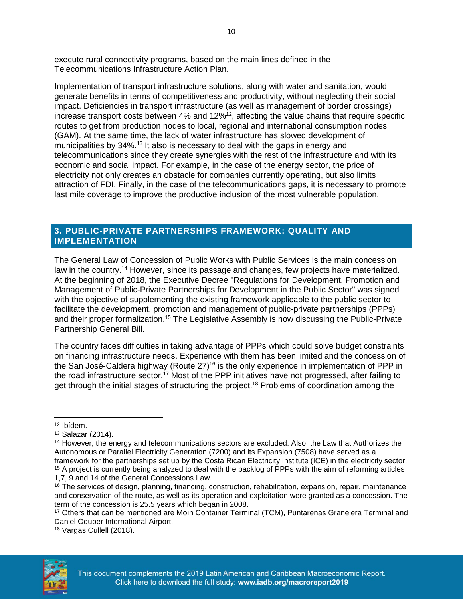execute rural connectivity programs, based on the main lines defined in the Telecommunications Infrastructure Action Plan.

Implementation of transport infrastructure solutions, along with water and sanitation, would generate benefits in terms of competitiveness and productivity, without neglecting their social impact. Deficiencies in transport infrastructure (as well as management of border crossings) increase transport costs between 4% and 12%<sup>12</sup>, affecting the value chains that require specific routes to get from production nodes to local, regional and international consumption nodes (GAM). At the same time, the lack of water infrastructure has slowed development of municipalities by 34%.<sup>13</sup> It also is necessary to deal with the gaps in energy and telecommunications since they create synergies with the rest of the infrastructure and with its economic and social impact. For example, in the case of the energy sector, the price of electricity not only creates an obstacle for companies currently operating, but also limits attraction of FDI. Finally, in the case of the telecommunications gaps, it is necessary to promote last mile coverage to improve the productive inclusion of the most vulnerable population.

#### **3. PUBLIC-PRIVATE PARTNERSHIPS FRAMEWORK: QUALITY AND IMPLEMENTATION**

The General Law of Concession of Public Works with Public Services is the main concession law in the country.<sup>14</sup> However, since its passage and changes, few projects have materialized. At the beginning of 2018, the Executive Decree "Regulations for Development, Promotion and Management of Public-Private Partnerships for Development in the Public Sector" was signed with the objective of supplementing the existing framework applicable to the public sector to facilitate the development, promotion and management of public-private partnerships (PPPs) and their proper formalization.<sup>15</sup> The Legislative Assembly is now discussing the Public-Private Partnership General Bill.

The country faces difficulties in taking advantage of PPPs which could solve budget constraints on financing infrastructure needs. Experience with them has been limited and the concession of the San José-Caldera highway (Route  $27$ )<sup>16</sup> is the only experience in implementation of PPP in the road infrastructure sector.<sup>17</sup> Most of the PPP initiatives have not progressed, after failing to get through the initial stages of structuring the project.<sup>18</sup> Problems of coordination among the

<sup>18</sup> Vargas Cullell (2018).



 $\overline{a}$ <sup>12</sup> Ibídem.

<sup>13</sup> Salazar (2014).

<sup>&</sup>lt;sup>14</sup> However, the energy and telecommunications sectors are excluded. Also, the Law that Authorizes the Autonomous or Parallel Electricity Generation (7200) and its Expansion (7508) have served as a framework for the partnerships set up by the Costa Rican Electricity Institute (ICE) in the electricity sector. <sup>15</sup> A project is currently being analyzed to deal with the backlog of PPPs with the aim of reforming articles

<sup>1,7, 9</sup> and 14 of the General Concessions Law.

<sup>16</sup> The services of design, planning, financing, construction, rehabilitation, expansion, repair, maintenance and conservation of the route, as well as its operation and exploitation were granted as a concession. The term of the concession is 25.5 years which began in 2008.

<sup>17</sup> Others that can be mentioned are Moín Container Terminal (TCM), Puntarenas Granelera Terminal and Daniel Oduber International Airport.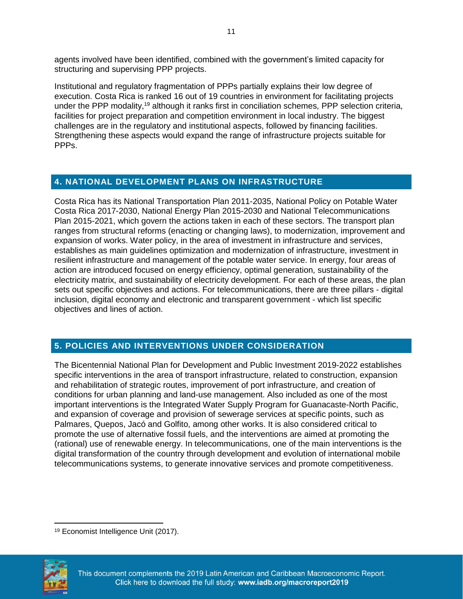agents involved have been identified, combined with the government's limited capacity for structuring and supervising PPP projects.

Institutional and regulatory fragmentation of PPPs partially explains their low degree of execution. Costa Rica is ranked 16 out of 19 countries in environment for facilitating projects under the PPP modality,<sup>19</sup> although it ranks first in conciliation schemes, PPP selection criteria, facilities for project preparation and competition environment in local industry. The biggest challenges are in the regulatory and institutional aspects, followed by financing facilities. Strengthening these aspects would expand the range of infrastructure projects suitable for PPP<sub>S</sub>.

#### **4. NATIONAL DEVELOPMENT PLANS ON INFRASTRUCTURE**

Costa Rica has its National Transportation Plan 2011-2035, National Policy on Potable Water Costa Rica 2017-2030, National Energy Plan 2015-2030 and National Telecommunications Plan 2015-2021, which govern the actions taken in each of these sectors. The transport plan ranges from structural reforms (enacting or changing laws), to modernization, improvement and expansion of works. Water policy, in the area of investment in infrastructure and services, establishes as main guidelines optimization and modernization of infrastructure, investment in resilient infrastructure and management of the potable water service. In energy, four areas of action are introduced focused on energy efficiency, optimal generation, sustainability of the electricity matrix, and sustainability of electricity development. For each of these areas, the plan sets out specific objectives and actions. For telecommunications, there are three pillars - digital inclusion, digital economy and electronic and transparent government - which list specific objectives and lines of action.

## **5. POLICIES AND INTERVENTIONS UNDER CONSIDERATION**

The Bicentennial National Plan for Development and Public Investment 2019-2022 establishes specific interventions in the area of transport infrastructure, related to construction, expansion and rehabilitation of strategic routes, improvement of port infrastructure, and creation of conditions for urban planning and land-use management. Also included as one of the most important interventions is the Integrated Water Supply Program for Guanacaste-North Pacific, and expansion of coverage and provision of sewerage services at specific points, such as Palmares, Quepos, Jacó and Golfito, among other works. It is also considered critical to promote the use of alternative fossil fuels, and the interventions are aimed at promoting the (rational) use of renewable energy. In telecommunications, one of the main interventions is the digital transformation of the country through development and evolution of international mobile telecommunications systems, to generate innovative services and promote competitiveness.

 $\overline{a}$ <sup>19</sup> Economist Intelligence Unit (2017).

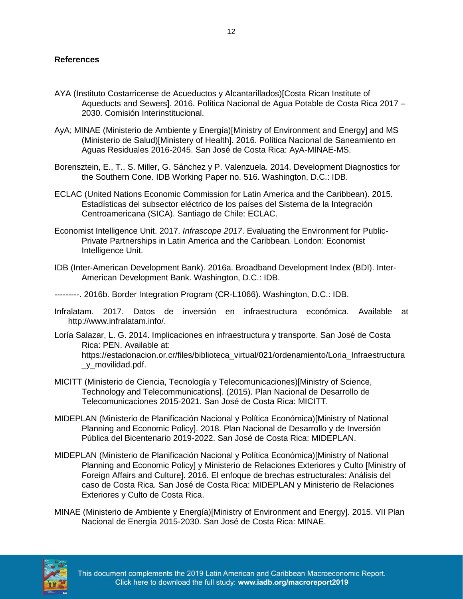#### **References**

- AYA (Instituto Costarricense de Acueductos y Alcantarillados)[Costa Rican Institute of Aqueducts and Sewers]. 2016. Política Nacional de Agua Potable de Costa Rica 2017 – 2030. Comisión Interinstitucional.
- AyA; MINAE (Ministerio de Ambiente y Energía)[Ministry of Environment and Energy] and MS (Ministerio de Salud)[Ministery of Health]. 2016. Política Nacional de Saneamiento en Aguas Residuales 2016-2045. San José de Costa Rica: AyA-MINAE-MS.
- Borensztein, E., T., S. Miller, G. Sánchez y P. Valenzuela. 2014. Development Diagnostics for the Southern Cone. IDB Working Paper no. 516. Washington, D.C.: IDB.
- ECLAC (United Nations Economic Commission for Latin America and the Caribbean). 2015. Estadísticas del subsector eléctrico de los países del Sistema de la Integración Centroamericana (SICA). Santiago de Chile: ECLAC.
- Economist Intelligence Unit. 2017. *Infrascope 2017*. Evaluating the Environment for Public-Private Partnerships in Latin America and the Caribbean*.* London: Economist Intelligence Unit.
- IDB (Inter-American Development Bank). 2016a. Broadband Development Index (BDI). Inter-American Development Bank. Washington, D.C.: IDB.

---------. 2016b. Border Integration Program (CR-L1066). Washington, D.C.: IDB.

- Infralatam. 2017. Datos de inversión en infraestructura económica. Available at http://www.infralatam.info/.
- Loría Salazar, L. G. 2014. Implicaciones en infraestructura y transporte. San José de Costa Rica: PEN. Available at: https://estadonacion.or.cr/files/biblioteca\_virtual/021/ordenamiento/Loria\_Infraestructura \_y\_movilidad.pdf.
- MICITT (Ministerio de Ciencia, Tecnología y Telecomunicaciones)[Ministry of Science, Technology and Telecommunications]. (2015). Plan Nacional de Desarrollo de Telecomunicaciones 2015-2021. San José de Costa Rica: MICITT.
- MIDEPLAN (Ministerio de Planificación Nacional y Política Económica)[Ministry of National Planning and Economic Policy]. 2018. Plan Nacional de Desarrollo y de Inversión Pública del Bicentenario 2019-2022. San José de Costa Rica: MIDEPLAN.
- MIDEPLAN (Ministerio de Planificación Nacional y Política Económica)[Ministry of National Planning and Economic Policy] y Ministerio de Relaciones Exteriores y Culto [Ministry of Foreign Affairs and Culture]. 2016. El enfoque de brechas estructurales: Análisis del caso de Costa Rica. San José de Costa Rica: MIDEPLAN y Ministerio de Relaciones Exteriores y Culto de Costa Rica.
- MINAE (Ministerio de Ambiente y Energía)[Ministry of Environment and Energy]. 2015. VII Plan Nacional de Energía 2015-2030. San José de Costa Rica: MINAE.

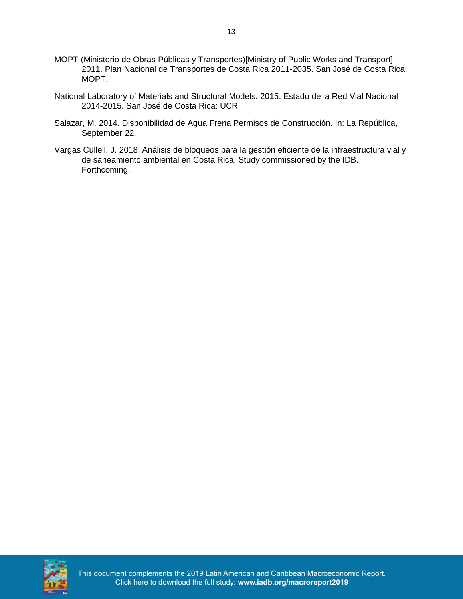- MOPT (Ministerio de Obras Públicas y Transportes)[Ministry of Public Works and Transport]. 2011. Plan Nacional de Transportes de Costa Rica 2011-2035. San José de Costa Rica: MOPT.
- National Laboratory of Materials and Structural Models. 2015. Estado de la Red Vial Nacional 2014-2015. San José de Costa Rica: UCR.
- Salazar, M. 2014. Disponibilidad de Agua Frena Permisos de Construcción. In: La República, September 22.
- Vargas Cullell, J. 2018. Análisis de bloqueos para la gestión eficiente de la infraestructura vial y de saneamiento ambiental en Costa Rica. Study commissioned by the IDB. Forthcoming.

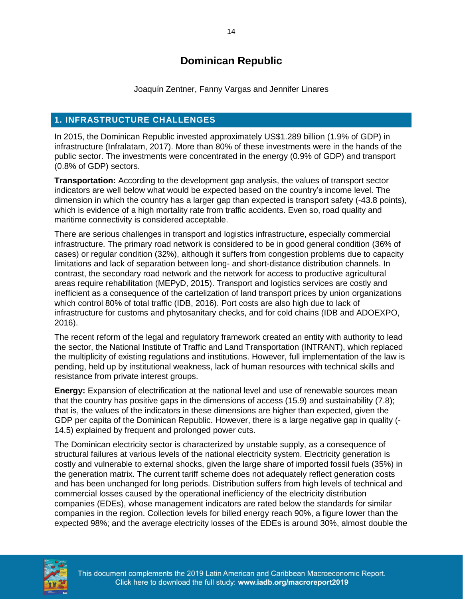## **Dominican Republic**

Joaquín Zentner, Fanny Vargas and Jennifer Linares

#### <span id="page-16-0"></span>**1. INFRASTRUCTURE CHALLENGES**

In 2015, the Dominican Republic invested approximately US\$1.289 billion (1.9% of GDP) in infrastructure (Infralatam, 2017). More than 80% of these investments were in the hands of the public sector. The investments were concentrated in the energy (0.9% of GDP) and transport (0.8% of GDP) sectors.

**Transportation:** According to the development gap analysis, the values of transport sector indicators are well below what would be expected based on the country's income level. The dimension in which the country has a larger gap than expected is transport safety (-43.8 points), which is evidence of a high mortality rate from traffic accidents. Even so, road quality and maritime connectivity is considered acceptable.

There are serious challenges in transport and logistics infrastructure, especially commercial infrastructure. The primary road network is considered to be in good general condition (36% of cases) or regular condition (32%), although it suffers from congestion problems due to capacity limitations and lack of separation between long- and short-distance distribution channels. In contrast, the secondary road network and the network for access to productive agricultural areas require rehabilitation (MEPyD, 2015). Transport and logistics services are costly and inefficient as a consequence of the cartelization of land transport prices by union organizations which control 80% of total traffic (IDB, 2016). Port costs are also high due to lack of infrastructure for customs and phytosanitary checks, and for cold chains (IDB and ADOEXPO, 2016).

The recent reform of the legal and regulatory framework created an entity with authority to lead the sector, the National Institute of Traffic and Land Transportation (INTRANT), which replaced the multiplicity of existing regulations and institutions. However, full implementation of the law is pending, held up by institutional weakness, lack of human resources with technical skills and resistance from private interest groups.

**Energy:** Expansion of electrification at the national level and use of renewable sources mean that the country has positive gaps in the dimensions of access (15.9) and sustainability (7.8); that is, the values of the indicators in these dimensions are higher than expected, given the GDP per capita of the Dominican Republic. However, there is a large negative gap in quality (- 14.5) explained by frequent and prolonged power cuts.

The Dominican electricity sector is characterized by unstable supply, as a consequence of structural failures at various levels of the national electricity system. Electricity generation is costly and vulnerable to external shocks, given the large share of imported fossil fuels (35%) in the generation matrix. The current tariff scheme does not adequately reflect generation costs and has been unchanged for long periods. Distribution suffers from high levels of technical and commercial losses caused by the operational inefficiency of the electricity distribution companies (EDEs), whose management indicators are rated below the standards for similar companies in the region. Collection levels for billed energy reach 90%, a figure lower than the expected 98%; and the average electricity losses of the EDEs is around 30%, almost double the

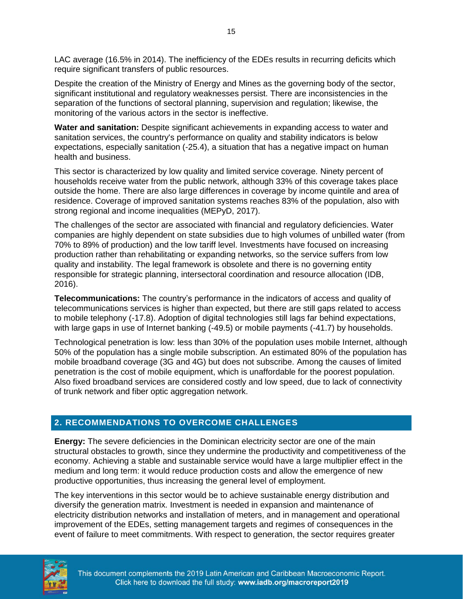LAC average (16.5% in 2014). The inefficiency of the EDEs results in recurring deficits which require significant transfers of public resources.

Despite the creation of the Ministry of Energy and Mines as the governing body of the sector, significant institutional and regulatory weaknesses persist. There are inconsistencies in the separation of the functions of sectoral planning, supervision and regulation; likewise, the monitoring of the various actors in the sector is ineffective.

**Water and sanitation:** Despite significant achievements in expanding access to water and sanitation services, the country's performance on quality and stability indicators is below expectations, especially sanitation (-25.4), a situation that has a negative impact on human health and business.

This sector is characterized by low quality and limited service coverage. Ninety percent of households receive water from the public network, although 33% of this coverage takes place outside the home. There are also large differences in coverage by income quintile and area of residence. Coverage of improved sanitation systems reaches 83% of the population, also with strong regional and income inequalities (MEPyD, 2017).

The challenges of the sector are associated with financial and regulatory deficiencies. Water companies are highly dependent on state subsidies due to high volumes of unbilled water (from 70% to 89% of production) and the low tariff level. Investments have focused on increasing production rather than rehabilitating or expanding networks, so the service suffers from low quality and instability. The legal framework is obsolete and there is no governing entity responsible for strategic planning, intersectoral coordination and resource allocation (IDB, 2016).

**Telecommunications:** The country's performance in the indicators of access and quality of telecommunications services is higher than expected, but there are still gaps related to access to mobile telephony (-17.8). Adoption of digital technologies still lags far behind expectations, with large gaps in use of Internet banking (-49.5) or mobile payments (-41.7) by households.

Technological penetration is low: less than 30% of the population uses mobile Internet, although 50% of the population has a single mobile subscription. An estimated 80% of the population has mobile broadband coverage (3G and 4G) but does not subscribe. Among the causes of limited penetration is the cost of mobile equipment, which is unaffordable for the poorest population. Also fixed broadband services are considered costly and low speed, due to lack of connectivity of trunk network and fiber optic aggregation network.

#### **2. RECOMMENDATIONS TO OVERCOME CHALLENGES**

**Energy:** The severe deficiencies in the Dominican electricity sector are one of the main structural obstacles to growth, since they undermine the productivity and competitiveness of the economy. Achieving a stable and sustainable service would have a large multiplier effect in the medium and long term: it would reduce production costs and allow the emergence of new productive opportunities, thus increasing the general level of employment.

The key interventions in this sector would be to achieve sustainable energy distribution and diversify the generation matrix. Investment is needed in expansion and maintenance of electricity distribution networks and installation of meters, and in management and operational improvement of the EDEs, setting management targets and regimes of consequences in the event of failure to meet commitments. With respect to generation, the sector requires greater

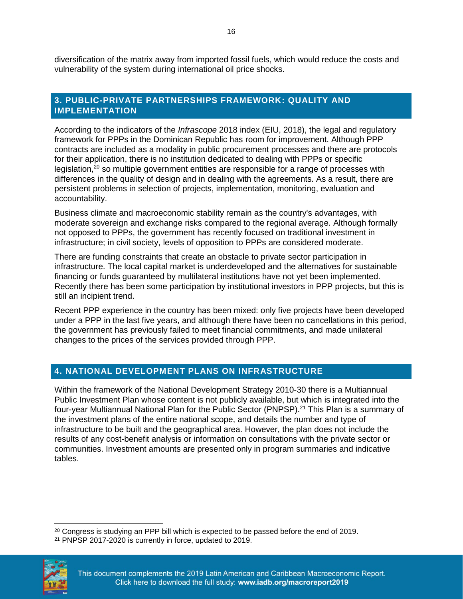diversification of the matrix away from imported fossil fuels, which would reduce the costs and vulnerability of the system during international oil price shocks.

#### **3. PUBLIC-PRIVATE PARTNERSHIPS FRAMEWORK: QUALITY AND IMPLEMENTATION**

According to the indicators of the *Infrascope* 2018 index (EIU, 2018), the legal and regulatory framework for PPPs in the Dominican Republic has room for improvement. Although PPP contracts are included as a modality in public procurement processes and there are protocols for their application, there is no institution dedicated to dealing with PPPs or specific legislation,<sup>20</sup> so multiple government entities are responsible for a range of processes with differences in the quality of design and in dealing with the agreements. As a result, there are persistent problems in selection of projects, implementation, monitoring, evaluation and accountability.

Business climate and macroeconomic stability remain as the country's advantages, with moderate sovereign and exchange risks compared to the regional average. Although formally not opposed to PPPs, the government has recently focused on traditional investment in infrastructure; in civil society, levels of opposition to PPPs are considered moderate.

There are funding constraints that create an obstacle to private sector participation in infrastructure. The local capital market is underdeveloped and the alternatives for sustainable financing or funds guaranteed by multilateral institutions have not yet been implemented. Recently there has been some participation by institutional investors in PPP projects, but this is still an incipient trend.

Recent PPP experience in the country has been mixed: only five projects have been developed under a PPP in the last five years, and although there have been no cancellations in this period, the government has previously failed to meet financial commitments, and made unilateral changes to the prices of the services provided through PPP.

#### **4. NATIONAL DEVELOPMENT PLANS ON INFRASTRUCTURE**

Within the framework of the National Development Strategy 2010-30 there is a Multiannual Public Investment Plan whose content is not publicly available, but which is integrated into the four-year Multiannual National Plan for the Public Sector (PNPSP).<sup>21</sup> This Plan is a summary of the investment plans of the entire national scope, and details the number and type of infrastructure to be built and the geographical area. However, the plan does not include the results of any cost-benefit analysis or information on consultations with the private sector or communities. Investment amounts are presented only in program summaries and indicative tables.

<sup>21</sup> PNPSP 2017-2020 is currently in force, updated to 2019.



 $\overline{a}$ 

<sup>&</sup>lt;sup>20</sup> Congress is studying an PPP bill which is expected to be passed before the end of 2019.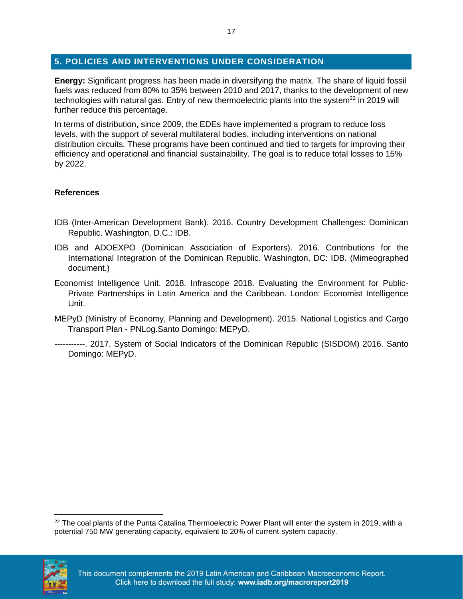#### **5. POLICIES AND INTERVENTIONS UNDER CONSIDERATION**

**Energy:** Significant progress has been made in diversifying the matrix. The share of liquid fossil fuels was reduced from 80% to 35% between 2010 and 2017, thanks to the development of new technologies with natural gas. Entry of new thermoelectric plants into the system $^{22}$  in 2019 will further reduce this percentage.

In terms of distribution, since 2009, the EDEs have implemented a program to reduce loss levels, with the support of several multilateral bodies, including interventions on national distribution circuits. These programs have been continued and tied to targets for improving their efficiency and operational and financial sustainability. The goal is to reduce total losses to 15% by 2022.

#### **References**

- IDB (Inter-American Development Bank). 2016. Country Development Challenges: Dominican Republic. Washington, D.C.: IDB.
- IDB and ADOEXPO (Dominican Association of Exporters). 2016. Contributions for the International Integration of the Dominican Republic. Washington, DC: IDB. (Mimeographed document.)
- Economist Intelligence Unit. 2018. Infrascope 2018. Evaluating the Environment for Public-Private Partnerships in Latin America and the Caribbean. London: Economist Intelligence Unit.
- MEPyD (Ministry of Economy, Planning and Development). 2015. National Logistics and Cargo Transport Plan - PNLog.Santo Domingo: MEPyD.
- -----------. 2017. System of Social Indicators of the Dominican Republic (SISDOM) 2016. Santo Domingo: MEPyD.

<sup>&</sup>lt;sup>22</sup> The coal plants of the Punta Catalina Thermoelectric Power Plant will enter the system in 2019, with a potential 750 MW generating capacity, equivalent to 20% of current system capacity.



 $\overline{\phantom{a}}$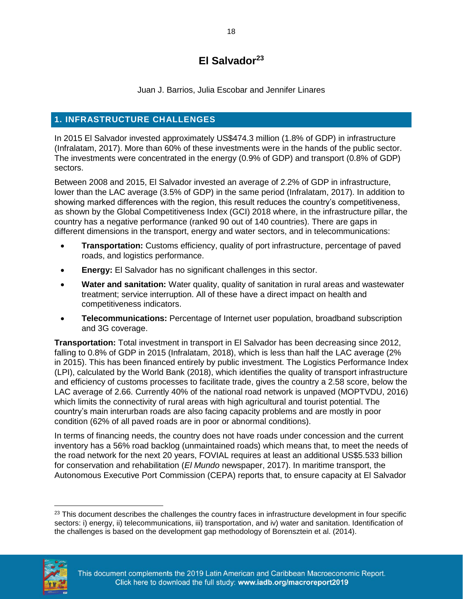## **El Salvador<sup>23</sup>**

Juan J. Barrios, Julia Escobar and Jennifer Linares

#### <span id="page-20-0"></span>**1. INFRASTRUCTURE CHALLENGES**

In 2015 El Salvador invested approximately US\$474.3 million (1.8% of GDP) in infrastructure (Infralatam, 2017). More than 60% of these investments were in the hands of the public sector. The investments were concentrated in the energy (0.9% of GDP) and transport (0.8% of GDP) sectors.

Between 2008 and 2015, El Salvador invested an average of 2.2% of GDP in infrastructure, lower than the LAC average (3.5% of GDP) in the same period (Infralatam, 2017). In addition to showing marked differences with the region, this result reduces the country's competitiveness, as shown by the Global Competitiveness Index (GCI) 2018 where, in the infrastructure pillar, the country has a negative performance (ranked 90 out of 140 countries). There are gaps in different dimensions in the transport, energy and water sectors, and in telecommunications:

- **Transportation:** Customs efficiency, quality of port infrastructure, percentage of paved roads, and logistics performance.
- **Energy:** El Salvador has no significant challenges in this sector.
- **Water and sanitation:** Water quality, quality of sanitation in rural areas and wastewater treatment; service interruption. All of these have a direct impact on health and competitiveness indicators.
- **Telecommunications:** Percentage of Internet user population, broadband subscription and 3G coverage.

**Transportation:** Total investment in transport in El Salvador has been decreasing since 2012, falling to 0.8% of GDP in 2015 (Infralatam, 2018), which is less than half the LAC average (2% in 2015). This has been financed entirely by public investment. The Logistics Performance Index (LPI), calculated by the World Bank (2018), which identifies the quality of transport infrastructure and efficiency of customs processes to facilitate trade, gives the country a 2.58 score, below the LAC average of 2.66. Currently 40% of the national road network is unpaved (MOPTVDU, 2016) which limits the connectivity of rural areas with high agricultural and tourist potential. The country's main interurban roads are also facing capacity problems and are mostly in poor condition (62% of all paved roads are in poor or abnormal conditions).

In terms of financing needs, the country does not have roads under concession and the current inventory has a 56% road backlog (unmaintained roads) which means that, to meet the needs of the road network for the next 20 years, FOVIAL requires at least an additional US\$5.533 billion for conservation and rehabilitation (*El Mundo* newspaper, 2017). In maritime transport, the Autonomous Executive Port Commission (CEPA) reports that, to ensure capacity at El Salvador

<sup>&</sup>lt;sup>23</sup> This document describes the challenges the country faces in infrastructure development in four specific sectors: i) energy, ii) telecommunications, iii) transportation, and iv) water and sanitation. Identification of the challenges is based on the development gap methodology of Borensztein et al. (2014).



 $\overline{a}$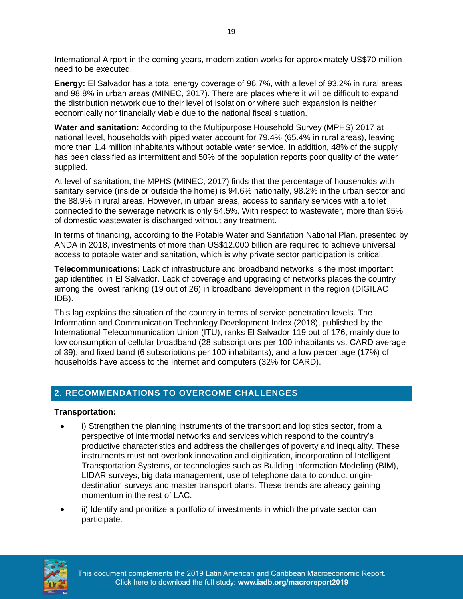International Airport in the coming years, modernization works for approximately US\$70 million need to be executed.

**Energy:** El Salvador has a total energy coverage of 96.7%, with a level of 93.2% in rural areas and 98.8% in urban areas (MINEC, 2017). There are places where it will be difficult to expand the distribution network due to their level of isolation or where such expansion is neither economically nor financially viable due to the national fiscal situation.

**Water and sanitation:** According to the Multipurpose Household Survey (MPHS) 2017 at national level, households with piped water account for 79.4% (65.4% in rural areas), leaving more than 1.4 million inhabitants without potable water service. In addition, 48% of the supply has been classified as intermittent and 50% of the population reports poor quality of the water supplied.

At level of sanitation, the MPHS (MINEC, 2017) finds that the percentage of households with sanitary service (inside or outside the home) is 94.6% nationally, 98.2% in the urban sector and the 88.9% in rural areas. However, in urban areas, access to sanitary services with a toilet connected to the sewerage network is only 54.5%. With respect to wastewater, more than 95% of domestic wastewater is discharged without any treatment.

In terms of financing, according to the Potable Water and Sanitation National Plan, presented by ANDA in 2018, investments of more than US\$12.000 billion are required to achieve universal access to potable water and sanitation, which is why private sector participation is critical.

**Telecommunications:** Lack of infrastructure and broadband networks is the most important gap identified in El Salvador. Lack of coverage and upgrading of networks places the country among the lowest ranking (19 out of 26) in broadband development in the region (DIGILAC IDB).

This lag explains the situation of the country in terms of service penetration levels. The Information and Communication Technology Development Index (2018), published by the International Telecommunication Union (ITU), ranks El Salvador 119 out of 176, mainly due to low consumption of cellular broadband (28 subscriptions per 100 inhabitants vs. CARD average of 39), and fixed band (6 subscriptions per 100 inhabitants), and a low percentage (17%) of households have access to the Internet and computers (32% for CARD).

#### **2. RECOMMENDATIONS TO OVERCOME CHALLENGES**

#### **Transportation:**

- i) Strengthen the planning instruments of the transport and logistics sector, from a perspective of intermodal networks and services which respond to the country's productive characteristics and address the challenges of poverty and inequality. These instruments must not overlook innovation and digitization, incorporation of Intelligent Transportation Systems, or technologies such as Building Information Modeling (BIM), LIDAR surveys, big data management, use of telephone data to conduct origindestination surveys and master transport plans. These trends are already gaining momentum in the rest of LAC.
- ii) Identify and prioritize a portfolio of investments in which the private sector can participate.



This document complements the 2019 Latin American and Caribbean Macroeconomic Report. Click here to download the full study: www.iadb.org/macroreport2019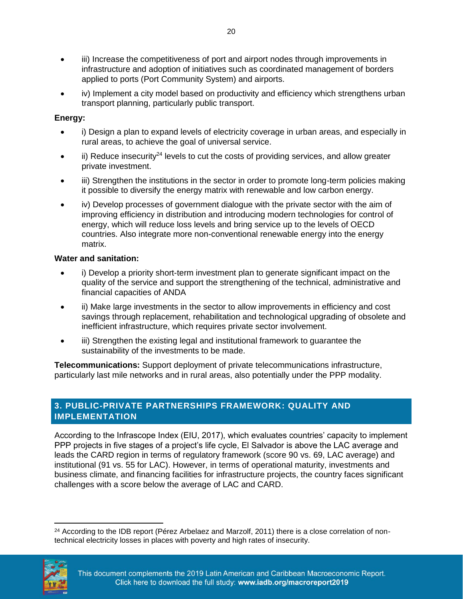- iii) Increase the competitiveness of port and airport nodes through improvements in infrastructure and adoption of initiatives such as coordinated management of borders applied to ports (Port Community System) and airports.
- iv) Implement a city model based on productivity and efficiency which strengthens urban transport planning, particularly public transport.

#### **Energy:**

- i) Design a plan to expand levels of electricity coverage in urban areas, and especially in rural areas, to achieve the goal of universal service.
- $\overline{a}$  ii) Reduce insecurity<sup>24</sup> levels to cut the costs of providing services, and allow greater private investment.
- iii) Strengthen the institutions in the sector in order to promote long-term policies making it possible to diversify the energy matrix with renewable and low carbon energy.
- iv) Develop processes of government dialogue with the private sector with the aim of improving efficiency in distribution and introducing modern technologies for control of energy, which will reduce loss levels and bring service up to the levels of OECD countries. Also integrate more non-conventional renewable energy into the energy matrix.

#### **Water and sanitation:**

- i) Develop a priority short-term investment plan to generate significant impact on the quality of the service and support the strengthening of the technical, administrative and financial capacities of ANDA
- ii) Make large investments in the sector to allow improvements in efficiency and cost savings through replacement, rehabilitation and technological upgrading of obsolete and inefficient infrastructure, which requires private sector involvement.
- iii) Strengthen the existing legal and institutional framework to guarantee the sustainability of the investments to be made.

**Telecommunications:** Support deployment of private telecommunications infrastructure, particularly last mile networks and in rural areas, also potentially under the PPP modality.

#### **3. PUBLIC-PRIVATE PARTNERSHIPS FRAMEWORK: QUALITY AND IMPLEMENTATION**

According to the Infrascope Index (EIU, 2017), which evaluates countries' capacity to implement PPP projects in five stages of a project's life cycle, El Salvador is above the LAC average and leads the CARD region in terms of regulatory framework (score 90 vs. 69, LAC average) and institutional (91 vs. 55 for LAC). However, in terms of operational maturity, investments and business climate, and financing facilities for infrastructure projects, the country faces significant challenges with a score below the average of LAC and CARD.

 $\overline{a}$ <sup>24</sup> According to the IDB report (Pérez Arbelaez and Marzolf, 2011) there is a close correlation of nontechnical electricity losses in places with poverty and high rates of insecurity.

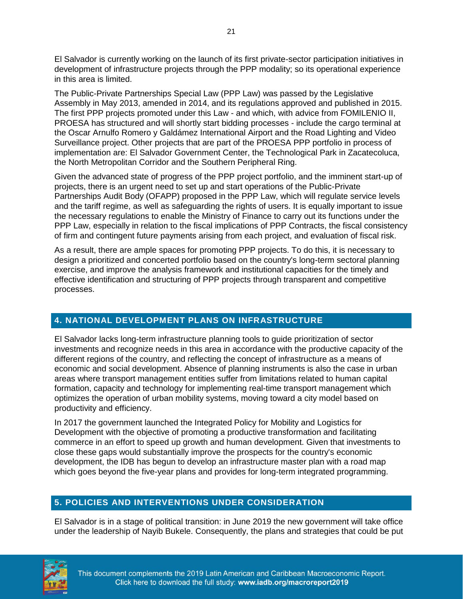El Salvador is currently working on the launch of its first private-sector participation initiatives in development of infrastructure projects through the PPP modality; so its operational experience in this area is limited.

The Public-Private Partnerships Special Law (PPP Law) was passed by the Legislative Assembly in May 2013, amended in 2014, and its regulations approved and published in 2015. The first PPP projects promoted under this Law - and which, with advice from FOMILENIO II, PROESA has structured and will shortly start bidding processes - include the cargo terminal at the Oscar Arnulfo Romero y Galdámez International Airport and the Road Lighting and Video Surveillance project. Other projects that are part of the PROESA PPP portfolio in process of implementation are: El Salvador Government Center, the Technological Park in Zacatecoluca, the North Metropolitan Corridor and the Southern Peripheral Ring.

Given the advanced state of progress of the PPP project portfolio, and the imminent start-up of projects, there is an urgent need to set up and start operations of the Public-Private Partnerships Audit Body (OFAPP) proposed in the PPP Law, which will regulate service levels and the tariff regime, as well as safeguarding the rights of users. It is equally important to issue the necessary regulations to enable the Ministry of Finance to carry out its functions under the PPP Law, especially in relation to the fiscal implications of PPP Contracts, the fiscal consistency of firm and contingent future payments arising from each project, and evaluation of fiscal risk.

As a result, there are ample spaces for promoting PPP projects. To do this, it is necessary to design a prioritized and concerted portfolio based on the country's long-term sectoral planning exercise, and improve the analysis framework and institutional capacities for the timely and effective identification and structuring of PPP projects through transparent and competitive processes.

## **4. NATIONAL DEVELOPMENT PLANS ON INFRASTRUCTURE**

El Salvador lacks long-term infrastructure planning tools to guide prioritization of sector investments and recognize needs in this area in accordance with the productive capacity of the different regions of the country, and reflecting the concept of infrastructure as a means of economic and social development. Absence of planning instruments is also the case in urban areas where transport management entities suffer from limitations related to human capital formation, capacity and technology for implementing real-time transport management which optimizes the operation of urban mobility systems, moving toward a city model based on productivity and efficiency.

In 2017 the government launched the Integrated Policy for Mobility and Logistics for Development with the objective of promoting a productive transformation and facilitating commerce in an effort to speed up growth and human development. Given that investments to close these gaps would substantially improve the prospects for the country's economic development, the IDB has begun to develop an infrastructure master plan with a road map which goes beyond the five-year plans and provides for long-term integrated programming.

#### **5. POLICIES AND INTERVENTIONS UNDER CONSIDERATION**

El Salvador is in a stage of political transition: in June 2019 the new government will take office under the leadership of Nayib Bukele. Consequently, the plans and strategies that could be put

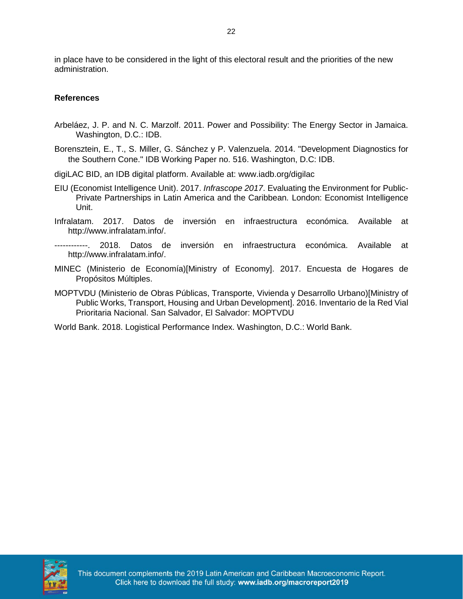in place have to be considered in the light of this electoral result and the priorities of the new administration.

#### **References**

- Arbeláez, J. P. and N. C. Marzolf. 2011. Power and Possibility: The Energy Sector in Jamaica. Washington, D.C.: IDB.
- Borensztein, E., T., S. Miller, G. Sánchez y P. Valenzuela. 2014. "Development Diagnostics for the Southern Cone." IDB Working Paper no. 516. Washington, D.C: IDB.
- digiLAC BID, an IDB digital platform. Available at: www.iadb.org/digilac
- EIU (Economist Intelligence Unit). 2017. *Infrascope 2017*. Evaluating the Environment for Public-Private Partnerships in Latin America and the Caribbean*.* London: Economist Intelligence Unit.
- Infralatam. 2017. Datos de inversión en infraestructura económica. Available at http://www.infralatam.info/.
- ------------. 2018. Datos de inversión en infraestructura económica. Available at http://www.infralatam.info/.
- MINEC (Ministerio de Economía)[Ministry of Economy]. 2017. Encuesta de Hogares de Propósitos Múltiples.
- MOPTVDU (Ministerio de Obras Públicas, Transporte, Vivienda y Desarrollo Urbano)[Ministry of Public Works, Transport, Housing and Urban Development]. 2016. Inventario de la Red Vial Prioritaria Nacional. San Salvador, El Salvador: MOPTVDU

World Bank. 2018. Logistical Performance Index. Washington, D.C.: World Bank.

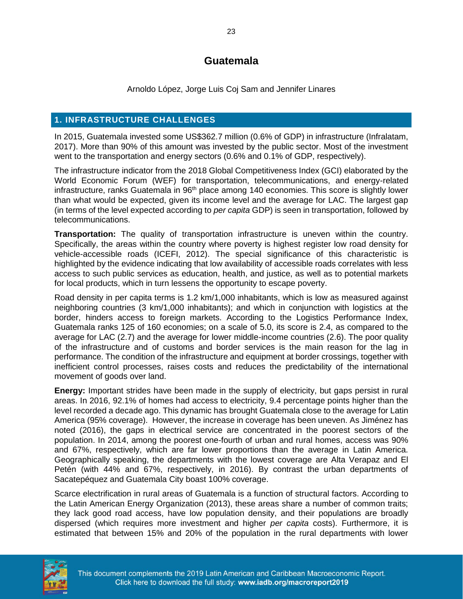## **Guatemala**

Arnoldo López, Jorge Luis Coj Sam and Jennifer Linares

#### <span id="page-25-0"></span>**1. INFRASTRUCTURE CHALLENGES**

In 2015, Guatemala invested some US\$362.7 million (0.6% of GDP) in infrastructure (Infralatam, 2017). More than 90% of this amount was invested by the public sector. Most of the investment went to the transportation and energy sectors (0.6% and 0.1% of GDP, respectively).

The infrastructure indicator from the 2018 Global Competitiveness Index (GCI) elaborated by the World Economic Forum (WEF) for transportation, telecommunications, and energy-related infrastructure, ranks Guatemala in  $96<sup>th</sup>$  place among 140 economies. This score is slightly lower than what would be expected, given its income level and the average for LAC. The largest gap (in terms of the level expected according to *per capita* GDP) is seen in transportation, followed by telecommunications.

**Transportation:** The quality of transportation infrastructure is uneven within the country. Specifically, the areas within the country where poverty is highest register low road density for vehicle-accessible roads (ICEFI, 2012). The special significance of this characteristic is highlighted by the evidence indicating that low availability of accessible roads correlates with less access to such public services as education, health, and justice, as well as to potential markets for local products, which in turn lessens the opportunity to escape poverty.

Road density in per capita terms is 1.2 km/1,000 inhabitants, which is low as measured against neighboring countries (3 km/1,000 inhabitants); and which in conjunction with logistics at the border, hinders access to foreign markets. According to the Logistics Performance Index, Guatemala ranks 125 of 160 economies; on a scale of 5.0, its score is 2.4, as compared to the average for LAC (2.7) and the average for lower middle-income countries (2.6). The poor quality of the infrastructure and of customs and border services is the main reason for the lag in performance. The condition of the infrastructure and equipment at border crossings, together with inefficient control processes, raises costs and reduces the predictability of the international movement of goods over land.

**Energy:** Important strides have been made in the supply of electricity, but gaps persist in rural areas. In 2016, 92.1% of homes had access to electricity, 9.4 percentage points higher than the level recorded a decade ago. This dynamic has brought Guatemala close to the average for Latin America (95% coverage). However, the increase in coverage has been uneven. As Jiménez has noted (2016), the gaps in electrical service are concentrated in the poorest sectors of the population. In 2014, among the poorest one-fourth of urban and rural homes, access was 90% and 67%, respectively, which are far lower proportions than the average in Latin America. Geographically speaking, the departments with the lowest coverage are Alta Verapaz and El Petén (with 44% and 67%, respectively, in 2016). By contrast the urban departments of Sacatepéquez and Guatemala City boast 100% coverage.

Scarce electrification in rural areas of Guatemala is a function of structural factors. According to the Latin American Energy Organization (2013), these areas share a number of common traits; they lack good road access, have low population density, and their populations are broadly dispersed (which requires more investment and higher *per capita* costs). Furthermore, it is estimated that between 15% and 20% of the population in the rural departments with lower

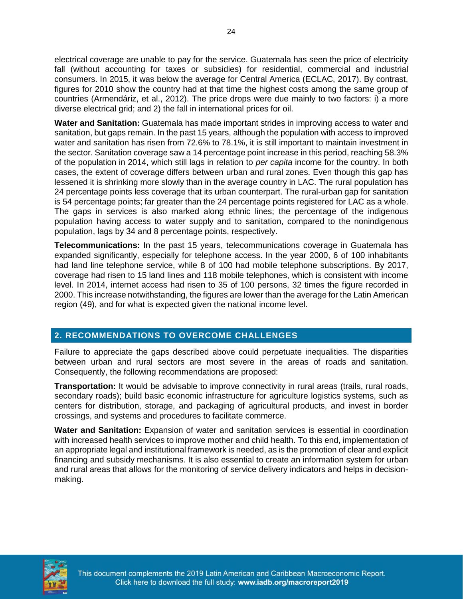electrical coverage are unable to pay for the service. Guatemala has seen the price of electricity fall (without accounting for taxes or subsidies) for residential, commercial and industrial consumers. In 2015, it was below the average for Central America (ECLAC, 2017). By contrast, figures for 2010 show the country had at that time the highest costs among the same group of countries (Armendáriz, et al., 2012). The price drops were due mainly to two factors: i) a more diverse electrical grid; and 2) the fall in international prices for oil.

**Water and Sanitation:** Guatemala has made important strides in improving access to water and sanitation, but gaps remain. In the past 15 years, although the population with access to improved water and sanitation has risen from 72.6% to 78.1%, it is still important to maintain investment in the sector. Sanitation coverage saw a 14 percentage point increase in this period, reaching 58.3% of the population in 2014, which still lags in relation to *per capita* income for the country. In both cases, the extent of coverage differs between urban and rural zones. Even though this gap has lessened it is shrinking more slowly than in the average country in LAC. The rural population has 24 percentage points less coverage that its urban counterpart. The rural-urban gap for sanitation is 54 percentage points; far greater than the 24 percentage points registered for LAC as a whole. The gaps in services is also marked along ethnic lines; the percentage of the indigenous population having access to water supply and to sanitation, compared to the nonindigenous population, lags by 34 and 8 percentage points, respectively.

**Telecommunications:** In the past 15 years, telecommunications coverage in Guatemala has expanded significantly, especially for telephone access. In the year 2000, 6 of 100 inhabitants had land line telephone service, while 8 of 100 had mobile telephone subscriptions. By 2017, coverage had risen to 15 land lines and 118 mobile telephones, which is consistent with income level. In 2014, internet access had risen to 35 of 100 persons, 32 times the figure recorded in 2000. This increase notwithstanding, the figures are lower than the average for the Latin American region (49), and for what is expected given the national income level.

#### **2. RECOMMENDATIONS TO OVERCOME CHALLENGES**

Failure to appreciate the gaps described above could perpetuate inequalities. The disparities between urban and rural sectors are most severe in the areas of roads and sanitation. Consequently, the following recommendations are proposed:

**Transportation:** It would be advisable to improve connectivity in rural areas (trails, rural roads, secondary roads); build basic economic infrastructure for agriculture logistics systems, such as centers for distribution, storage, and packaging of agricultural products, and invest in border crossings, and systems and procedures to facilitate commerce.

**Water and Sanitation:** Expansion of water and sanitation services is essential in coordination with increased health services to improve mother and child health. To this end, implementation of an appropriate legal and institutional framework is needed, as is the promotion of clear and explicit financing and subsidy mechanisms. It is also essential to create an information system for urban and rural areas that allows for the monitoring of service delivery indicators and helps in decisionmaking.

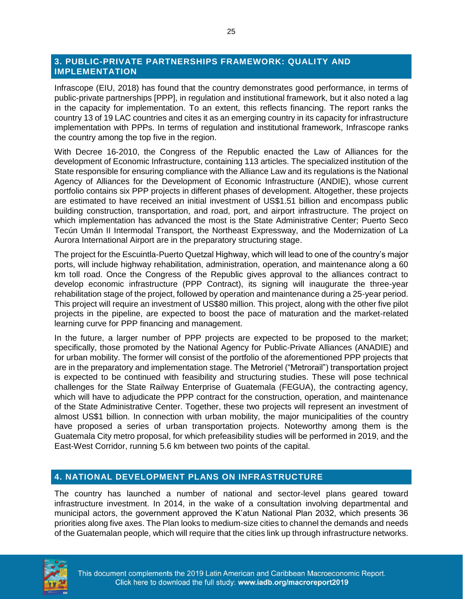#### **3. PUBLIC-PRIVATE PARTNERSHIPS FRAMEWORK: QUALITY AND IMPLEMENTATION**

Infrascope (EIU, 2018) has found that the country demonstrates good performance, in terms of public-private partnerships [PPP], in regulation and institutional framework, but it also noted a lag in the capacity for implementation. To an extent, this reflects financing. The report ranks the country 13 of 19 LAC countries and cites it as an emerging country in its capacity for infrastructure implementation with PPPs. In terms of regulation and institutional framework, Infrascope ranks the country among the top five in the region.

With Decree 16-2010, the Congress of the Republic enacted the Law of Alliances for the development of Economic Infrastructure, containing 113 articles. The specialized institution of the State responsible for ensuring compliance with the Alliance Law and its regulations is the National Agency of Alliances for the Development of Economic Infrastructure (ANDIE), whose current portfolio contains six PPP projects in different phases of development. Altogether, these projects are estimated to have received an initial investment of US\$1.51 billion and encompass public building construction, transportation, and road, port, and airport infrastructure. The project on which implementation has advanced the most is the State Administrative Center; Puerto Seco Tecún Umán II Intermodal Transport, the Northeast Expressway, and the Modernization of La Aurora International Airport are in the preparatory structuring stage.

The project for the Escuintla-Puerto Quetzal Highway, which will lead to one of the country's major ports, will include highway rehabilitation, administration, operation, and maintenance along a 60 km toll road. Once the Congress of the Republic gives approval to the alliances contract to develop economic infrastructure (PPP Contract), its signing will inaugurate the three-year rehabilitation stage of the project, followed by operation and maintenance during a 25-year period. This project will require an investment of US\$80 million. This project, along with the other five pilot projects in the pipeline, are expected to boost the pace of maturation and the market-related learning curve for PPP financing and management.

In the future, a larger number of PPP projects are expected to be proposed to the market; specifically, those promoted by the National Agency for Public-Private Alliances (ANADIE) and for urban mobility. The former will consist of the portfolio of the aforementioned PPP projects that are in the preparatory and implementation stage. The Metroriel ("Metrorail") transportation project is expected to be continued with feasibility and structuring studies. These will pose technical challenges for the State Railway Enterprise of Guatemala (FEGUA), the contracting agency, which will have to adjudicate the PPP contract for the construction, operation, and maintenance of the State Administrative Center. Together, these two projects will represent an investment of almost US\$1 billion. In connection with urban mobility, the major municipalities of the country have proposed a series of urban transportation projects. Noteworthy among them is the Guatemala City metro proposal, for which prefeasibility studies will be performed in 2019, and the East-West Corridor, running 5.6 km between two points of the capital.

#### **4. NATIONAL DEVELOPMENT PLANS ON INFRASTRUCTURE**

The country has launched a number of national and sector-level plans geared toward infrastructure investment. In 2014, in the wake of a consultation involving departmental and municipal actors, the government approved the K'atun National Plan 2032, which presents 36 priorities along five axes. The Plan looks to medium-size cities to channel the demands and needs of the Guatemalan people, which will require that the cities link up through infrastructure networks.

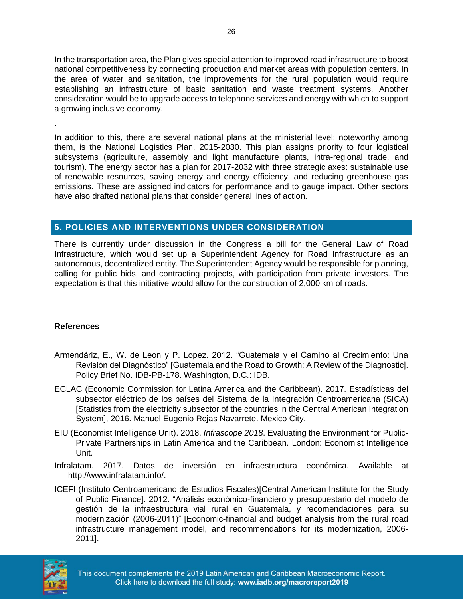In the transportation area, the Plan gives special attention to improved road infrastructure to boost national competitiveness by connecting production and market areas with population centers. In the area of water and sanitation, the improvements for the rural population would require establishing an infrastructure of basic sanitation and waste treatment systems. Another consideration would be to upgrade access to telephone services and energy with which to support a growing inclusive economy.

In addition to this, there are several national plans at the ministerial level; noteworthy among them, is the National Logistics Plan, 2015-2030. This plan assigns priority to four logistical subsystems (agriculture, assembly and light manufacture plants, intra-regional trade, and tourism). The energy sector has a plan for 2017-2032 with three strategic axes: sustainable use of renewable resources, saving energy and energy efficiency, and reducing greenhouse gas emissions. These are assigned indicators for performance and to gauge impact. Other sectors have also drafted national plans that consider general lines of action.

#### **5. POLICIES AND INTERVENTIONS UNDER CONSIDERATION**

There is currently under discussion in the Congress a bill for the General Law of Road Infrastructure, which would set up a Superintendent Agency for Road Infrastructure as an autonomous, decentralized entity. The Superintendent Agency would be responsible for planning, calling for public bids, and contracting projects, with participation from private investors. The expectation is that this initiative would allow for the construction of 2,000 km of roads.

#### **References**

.

- Armendáriz, E., W. de Leon y P. Lopez. 2012. "Guatemala y el Camino al Crecimiento: Una Revisión del Diagnóstico" [Guatemala and the Road to Growth: A Review of the Diagnostic]. Policy Brief No. IDB-PB-178. Washington, D.C.: IDB.
- ECLAC (Economic Commission for Latina America and the Caribbean). 2017. Estadísticas del subsector eléctrico de los países del Sistema de la Integración Centroamericana (SICA) [Statistics from the electricity subsector of the countries in the Central American Integration System], 2016. Manuel Eugenio Rojas Navarrete. Mexico City.
- EIU (Economist Intelligence Unit). 2018. *Infrascope 2018*. Evaluating the Environment for Public-Private Partnerships in Latin America and the Caribbean*.* London: Economist Intelligence Unit.
- Infralatam. 2017. Datos de inversión en infraestructura económica. Available at http://www.infralatam.info/.
- ICEFI (Instituto Centroamericano de Estudios Fiscales)[Central American Institute for the Study of Public Finance]. 2012. "Análisis económico-financiero y presupuestario del modelo de gestión de la infraestructura vial rural en Guatemala, y recomendaciones para su modernización (2006-2011)" [Economic-financial and budget analysis from the rural road infrastructure management model, and recommendations for its modernization, 2006- 2011].

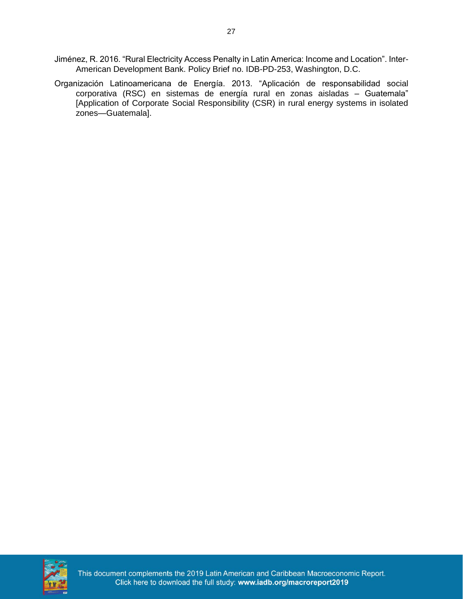- Jiménez, R. 2016. "Rural Electricity Access Penalty in Latin America: Income and Location". Inter-American Development Bank. Policy Brief no. IDB-PD-253, Washington, D.C.
- Organización Latinoamericana de Energía. 2013. "Aplicación de responsabilidad social corporativa (RSC) en sistemas de energía rural en zonas aisladas – Guatemala" [Application of Corporate Social Responsibility (CSR) in rural energy systems in isolated zones—Guatemala].



This document complements the 2019 Latin American and Caribbean Macroeconomic Report. Click here to download the full study: www.iadb.org/macroreport2019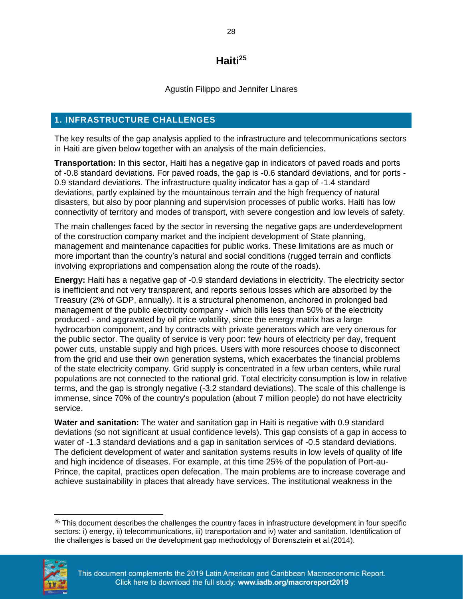## **Haiti<sup>25</sup>**

Agustín Filippo and Jennifer Linares

### <span id="page-30-0"></span>**1. INFRASTRUCTURE CHALLENGES**

The key results of the gap analysis applied to the infrastructure and telecommunications sectors in Haiti are given below together with an analysis of the main deficiencies.

**Transportation:** In this sector, Haiti has a negative gap in indicators of paved roads and ports of -0.8 standard deviations. For paved roads, the gap is -0.6 standard deviations, and for ports - 0.9 standard deviations. The infrastructure quality indicator has a gap of -1.4 standard deviations, partly explained by the mountainous terrain and the high frequency of natural disasters, but also by poor planning and supervision processes of public works. Haiti has low connectivity of territory and modes of transport, with severe congestion and low levels of safety.

The main challenges faced by the sector in reversing the negative gaps are underdevelopment of the construction company market and the incipient development of State planning, management and maintenance capacities for public works. These limitations are as much or more important than the country's natural and social conditions (rugged terrain and conflicts involving expropriations and compensation along the route of the roads).

**Energy:** Haiti has a negative gap of -0.9 standard deviations in electricity. The electricity sector is inefficient and not very transparent, and reports serious losses which are absorbed by the Treasury (2% of GDP, annually). It is a structural phenomenon, anchored in prolonged bad management of the public electricity company - which bills less than 50% of the electricity produced - and aggravated by oil price volatility, since the energy matrix has a large hydrocarbon component, and by contracts with private generators which are very onerous for the public sector. The quality of service is very poor: few hours of electricity per day, frequent power cuts, unstable supply and high prices. Users with more resources choose to disconnect from the grid and use their own generation systems, which exacerbates the financial problems of the state electricity company. Grid supply is concentrated in a few urban centers, while rural populations are not connected to the national grid. Total electricity consumption is low in relative terms, and the gap is strongly negative (-3.2 standard deviations). The scale of this challenge is immense, since 70% of the country's population (about 7 million people) do not have electricity service.

**Water and sanitation:** The water and sanitation gap in Haiti is negative with 0.9 standard deviations (so not significant at usual confidence levels). This gap consists of a gap in access to water of -1.3 standard deviations and a gap in sanitation services of -0.5 standard deviations. The deficient development of water and sanitation systems results in low levels of quality of life and high incidence of diseases. For example, at this time 25% of the population of Port-au-Prince, the capital, practices open defecation. The main problems are to increase coverage and achieve sustainability in places that already have services. The institutional weakness in the

<sup>&</sup>lt;sup>25</sup> This document describes the challenges the country faces in infrastructure development in four specific sectors: i) energy, ii) telecommunications, iii) transportation and iv) water and sanitation. Identification of the challenges is based on the development gap methodology of Borensztein et al.(2014).



 $\overline{\phantom{a}}$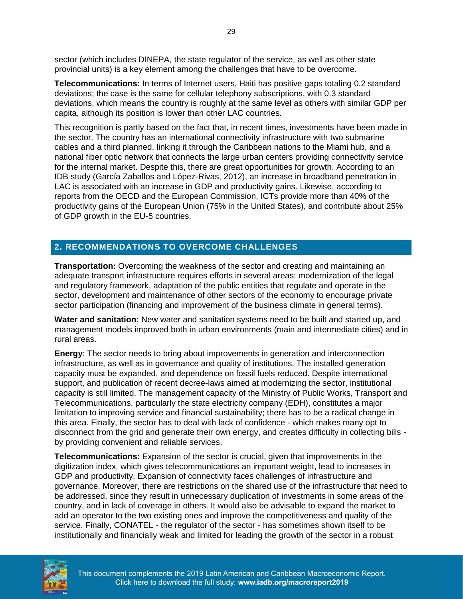sector (which includes DINEPA, the state regulator of the service, as well as other state provincial units) is a key element among the challenges that have to be overcome.

**Telecommunications:** In terms of Internet users, Haiti has positive gaps totaling 0.2 standard deviations; the case is the same for cellular telephony subscriptions, with 0.3 standard deviations, which means the country is roughly at the same level as others with similar GDP per capita, although its position is lower than other LAC countries.

This recognition is partly based on the fact that, in recent times, investments have been made in the sector. The country has an international connectivity infrastructure with two submarine cables and a third planned, linking it through the Caribbean nations to the Miami hub, and a national fiber optic network that connects the large urban centers providing connectivity service for the internal market. Despite this, there are great opportunities for growth. According to an IDB study (García Zaballos and López-Rivas, 2012), an increase in broadband penetration in LAC is associated with an increase in GDP and productivity gains. Likewise, according to reports from the OECD and the European Commission, ICTs provide more than 40% of the productivity gains of the European Union (75% in the United States), and contribute about 25% of GDP growth in the EU-5 countries.

#### **2. RECOMMENDATIONS TO OVERCOME CHALLENGES**

**Transportation:** Overcoming the weakness of the sector and creating and maintaining an adequate transport infrastructure requires efforts in several areas: modernization of the legal and regulatory framework, adaptation of the public entities that regulate and operate in the sector, development and maintenance of other sectors of the economy to encourage private sector participation (financing and improvement of the business climate in general terms).

**Water and sanitation:** New water and sanitation systems need to be built and started up, and management models improved both in urban environments (main and intermediate cities) and in rural areas.

**Energy**: The sector needs to bring about improvements in generation and interconnection infrastructure, as well as in governance and quality of institutions. The installed generation capacity must be expanded, and dependence on fossil fuels reduced. Despite international support, and publication of recent decree-laws aimed at modernizing the sector, institutional capacity is still limited. The management capacity of the Ministry of Public Works, Transport and Telecommunications, particularly the state electricity company (EDH), constitutes a major limitation to improving service and financial sustainability; there has to be a radical change in this area. Finally, the sector has to deal with lack of confidence - which makes many opt to disconnect from the grid and generate their own energy, and creates difficulty in collecting bills by providing convenient and reliable services.

**Telecommunications:** Expansion of the sector is crucial, given that improvements in the digitization index, which gives telecommunications an important weight, lead to increases in GDP and productivity. Expansion of connectivity faces challenges of infrastructure and governance. Moreover, there are restrictions on the shared use of the infrastructure that need to be addressed, since they result in unnecessary duplication of investments in some areas of the country, and in lack of coverage in others. It would also be advisable to expand the market to add an operator to the two existing ones and improve the competitiveness and quality of the service. Finally, CONATEL - the regulator of the sector - has sometimes shown itself to be institutionally and financially weak and limited for leading the growth of the sector in a robust

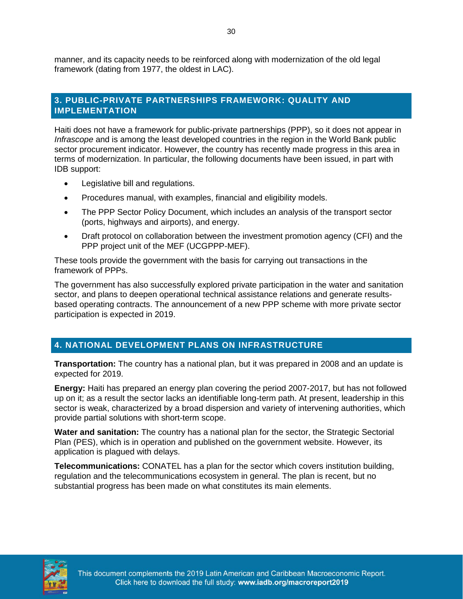manner, and its capacity needs to be reinforced along with modernization of the old legal framework (dating from 1977, the oldest in LAC).

#### **3. PUBLIC-PRIVATE PARTNERSHIPS FRAMEWORK: QUALITY AND IMPLEMENTATION**

Haiti does not have a framework for public-private partnerships (PPP), so it does not appear in *Infrascope* and is among the least developed countries in the region in the World Bank public sector procurement indicator. However, the country has recently made progress in this area in terms of modernization. In particular, the following documents have been issued, in part with IDB support:

- Legislative bill and regulations.
- Procedures manual, with examples, financial and eligibility models.
- The PPP Sector Policy Document, which includes an analysis of the transport sector (ports, highways and airports), and energy.
- Draft protocol on collaboration between the investment promotion agency (CFI) and the PPP project unit of the MEF (UCGPPP-MEF).

These tools provide the government with the basis for carrying out transactions in the framework of PPPs.

The government has also successfully explored private participation in the water and sanitation sector, and plans to deepen operational technical assistance relations and generate resultsbased operating contracts. The announcement of a new PPP scheme with more private sector participation is expected in 2019.

## **4. NATIONAL DEVELOPMENT PLANS ON INFRASTRUCTURE**

**Transportation:** The country has a national plan, but it was prepared in 2008 and an update is expected for 2019.

**Energy:** Haiti has prepared an energy plan covering the period 2007-2017, but has not followed up on it; as a result the sector lacks an identifiable long-term path. At present, leadership in this sector is weak, characterized by a broad dispersion and variety of intervening authorities, which provide partial solutions with short-term scope.

**Water and sanitation:** The country has a national plan for the sector, the Strategic Sectorial Plan (PES), which is in operation and published on the government website. However, its application is plagued with delays.

**Telecommunications:** CONATEL has a plan for the sector which covers institution building, regulation and the telecommunications ecosystem in general. The plan is recent, but no substantial progress has been made on what constitutes its main elements.

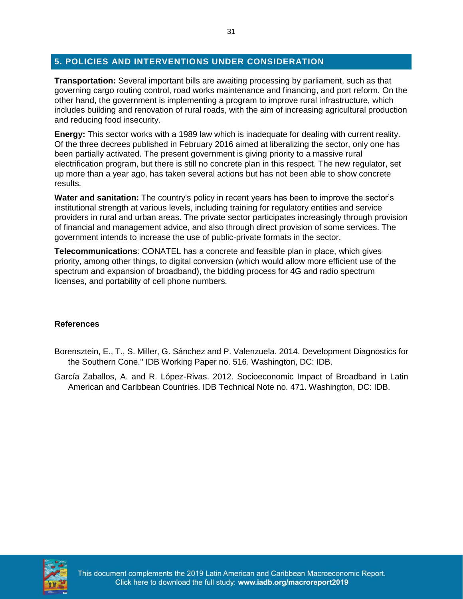#### **5. POLICIES AND INTERVENTIONS UNDER CONSIDERATION**

**Transportation:** Several important bills are awaiting processing by parliament, such as that governing cargo routing control, road works maintenance and financing, and port reform. On the other hand, the government is implementing a program to improve rural infrastructure, which includes building and renovation of rural roads, with the aim of increasing agricultural production and reducing food insecurity.

**Energy:** This sector works with a 1989 law which is inadequate for dealing with current reality. Of the three decrees published in February 2016 aimed at liberalizing the sector, only one has been partially activated. The present government is giving priority to a massive rural electrification program, but there is still no concrete plan in this respect. The new regulator, set up more than a year ago, has taken several actions but has not been able to show concrete results.

**Water and sanitation:** The country's policy in recent years has been to improve the sector's institutional strength at various levels, including training for regulatory entities and service providers in rural and urban areas. The private sector participates increasingly through provision of financial and management advice, and also through direct provision of some services. The government intends to increase the use of public-private formats in the sector.

**Telecommunications**: CONATEL has a concrete and feasible plan in place, which gives priority, among other things, to digital conversion (which would allow more efficient use of the spectrum and expansion of broadband), the bidding process for 4G and radio spectrum licenses, and portability of cell phone numbers.

#### **References**

- Borensztein, E., T., S. Miller, G. Sánchez and P. Valenzuela. 2014. Development Diagnostics for the Southern Cone." IDB Working Paper no. 516. Washington, DC: IDB.
- García Zaballos, A. and R. López-Rivas. 2012. Socioeconomic Impact of Broadband in Latin American and Caribbean Countries. IDB Technical Note no. 471. Washington, DC: IDB.

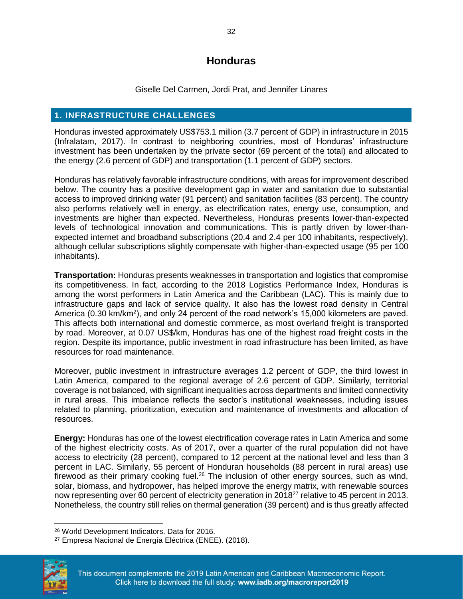## **Honduras**

Giselle Del Carmen, Jordi Prat, and Jennifer Linares

#### <span id="page-34-0"></span>**1. INFRASTRUCTURE CHALLENGES**

Honduras invested approximately US\$753.1 million (3.7 percent of GDP) in infrastructure in 2015 (Infralatam, 2017). In contrast to neighboring countries, most of Honduras' infrastructure investment has been undertaken by the private sector (69 percent of the total) and allocated to the energy (2.6 percent of GDP) and transportation (1.1 percent of GDP) sectors.

Honduras has relatively favorable infrastructure conditions, with areas for improvement described below. The country has a positive development gap in water and sanitation due to substantial access to improved drinking water (91 percent) and sanitation facilities (83 percent). The country also performs relatively well in energy, as electrification rates, energy use, consumption, and investments are higher than expected. Nevertheless, Honduras presents lower-than-expected levels of technological innovation and communications. This is partly driven by lower-thanexpected internet and broadband subscriptions (20.4 and 2.4 per 100 inhabitants, respectively), although cellular subscriptions slightly compensate with higher-than-expected usage (95 per 100 inhabitants).

**Transportation:** Honduras presents weaknesses in transportation and logistics that compromise its competitiveness. In fact, according to the 2018 Logistics Performance Index, Honduras is among the worst performers in Latin America and the Caribbean (LAC). This is mainly due to infrastructure gaps and lack of service quality. It also has the lowest road density in Central America (0.30 km/km<sup>2</sup>), and only 24 percent of the road network's 15,000 kilometers are paved. This affects both international and domestic commerce, as most overland freight is transported by road. Moreover, at 0.07 US\$/km, Honduras has one of the highest road freight costs in the region. Despite its importance, public investment in road infrastructure has been limited, as have resources for road maintenance.

Moreover, public investment in infrastructure averages 1.2 percent of GDP, the third lowest in Latin America, compared to the regional average of 2.6 percent of GDP. Similarly, territorial coverage is not balanced, with significant inequalities across departments and limited connectivity in rural areas. This imbalance reflects the sector's institutional weaknesses, including issues related to planning, prioritization, execution and maintenance of investments and allocation of resources.

**Energy:** Honduras has one of the lowest electrification coverage rates in Latin America and some of the highest electricity costs. As of 2017, over a quarter of the rural population did not have access to electricity (28 percent), compared to 12 percent at the national level and less than 3 percent in LAC. Similarly, 55 percent of Honduran households (88 percent in rural areas) use firewood as their primary cooking fuel.<sup>26</sup> The inclusion of other energy sources, such as wind, solar, biomass, and hydropower, has helped improve the energy matrix, with renewable sources now representing over 60 percent of electricity generation in 2018<sup>27</sup> relative to 45 percent in 2013. Nonetheless, the country still relies on thermal generation (39 percent) and is thus greatly affected

<sup>27</sup> Empresa Nacional de Energía Eléctrica (ENEE). (2018).



 $\overline{a}$ 

<sup>26</sup> World Development Indicators. Data for 2016.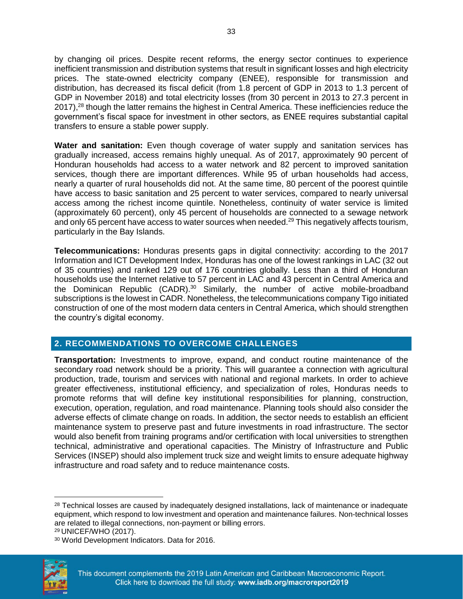by changing oil prices. Despite recent reforms, the energy sector continues to experience inefficient transmission and distribution systems that result in significant losses and high electricity prices. The state-owned electricity company (ENEE), responsible for transmission and distribution, has decreased its fiscal deficit (from 1.8 percent of GDP in 2013 to 1.3 percent of GDP in November 2018) and total electricity losses (from 30 percent in 2013 to 27.3 percent in 2017),<sup>28</sup> though the latter remains the highest in Central America. These inefficiencies reduce the government's fiscal space for investment in other sectors, as ENEE requires substantial capital transfers to ensure a stable power supply.

**Water and sanitation:** Even though coverage of water supply and sanitation services has gradually increased, access remains highly unequal. As of 2017, approximately 90 percent of Honduran households had access to a water network and 82 percent to improved sanitation services, though there are important differences. While 95 of urban households had access, nearly a quarter of rural households did not. At the same time, 80 percent of the poorest quintile have access to basic sanitation and 25 percent to water services, compared to nearly universal access among the richest income quintile. Nonetheless, continuity of water service is limited (approximately 60 percent), only 45 percent of households are connected to a sewage network and only 65 percent have access to water sources when needed.<sup>29</sup> This negatively affects tourism, particularly in the Bay Islands.

**Telecommunications:** Honduras presents gaps in digital connectivity: according to the 2017 Information and ICT Development Index, Honduras has one of the lowest rankings in LAC (32 out of 35 countries) and ranked 129 out of 176 countries globally. Less than a third of Honduran households use the Internet relative to 57 percent in LAC and 43 percent in Central America and the Dominican Republic (CADR).<sup>30</sup> Similarly, the number of active mobile-broadband subscriptions is the lowest in CADR. Nonetheless, the telecommunications company Tigo initiated construction of one of the most modern data centers in Central America, which should strengthen the country's digital economy.

#### **2. RECOMMENDATIONS TO OVERCOME CHALLENGES**

**Transportation:** Investments to improve, expand, and conduct routine maintenance of the secondary road network should be a priority. This will guarantee a connection with agricultural production, trade, tourism and services with national and regional markets. In order to achieve greater effectiveness, institutional efficiency, and specialization of roles, Honduras needs to promote reforms that will define key institutional responsibilities for planning, construction, execution, operation, regulation, and road maintenance. Planning tools should also consider the adverse effects of climate change on roads. In addition, the sector needs to establish an efficient maintenance system to preserve past and future investments in road infrastructure. The sector would also benefit from training programs and/or certification with local universities to strengthen technical, administrative and operational capacities. The Ministry of Infrastructure and Public Services (INSEP) should also implement truck size and weight limits to ensure adequate highway infrastructure and road safety and to reduce maintenance costs.

<sup>30</sup> World Development Indicators. Data for 2016.



l

<sup>&</sup>lt;sup>28</sup> Technical losses are caused by inadequately designed installations, lack of maintenance or inadequate equipment, which respond to low investment and operation and maintenance failures. Non-technical losses are related to illegal connections, non-payment or billing errors.

<sup>29</sup> UNICEF/WHO (2017).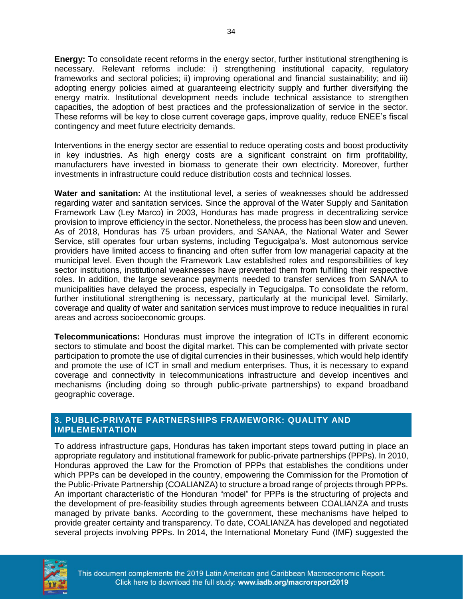**Energy:** To consolidate recent reforms in the energy sector, further institutional strengthening is necessary. Relevant reforms include: i) strengthening institutional capacity, regulatory frameworks and sectoral policies; ii) improving operational and financial sustainability; and iii) adopting energy policies aimed at guaranteeing electricity supply and further diversifying the energy matrix. Institutional development needs include technical assistance to strengthen capacities, the adoption of best practices and the professionalization of service in the sector. These reforms will be key to close current coverage gaps, improve quality, reduce ENEE's fiscal contingency and meet future electricity demands.

Interventions in the energy sector are essential to reduce operating costs and boost productivity in key industries. As high energy costs are a significant constraint on firm profitability, manufacturers have invested in biomass to generate their own electricity. Moreover, further investments in infrastructure could reduce distribution costs and technical losses.

**Water and sanitation:** At the institutional level, a series of weaknesses should be addressed regarding water and sanitation services. Since the approval of the Water Supply and Sanitation Framework Law (Ley Marco) in 2003, Honduras has made progress in decentralizing service provision to improve efficiency in the sector. Nonetheless, the process has been slow and uneven. As of 2018, Honduras has 75 urban providers, and SANAA, the National Water and Sewer Service, still operates four urban systems, including Tegucigalpa's. Most autonomous service providers have limited access to financing and often suffer from low managerial capacity at the municipal level. Even though the Framework Law established roles and responsibilities of key sector institutions, institutional weaknesses have prevented them from fulfilling their respective roles. In addition, the large severance payments needed to transfer services from SANAA to municipalities have delayed the process, especially in Tegucigalpa. To consolidate the reform, further institutional strengthening is necessary, particularly at the municipal level. Similarly, coverage and quality of water and sanitation services must improve to reduce inequalities in rural areas and across socioeconomic groups.

**Telecommunications:** Honduras must improve the integration of ICTs in different economic sectors to stimulate and boost the digital market. This can be complemented with private sector participation to promote the use of digital currencies in their businesses, which would help identify and promote the use of ICT in small and medium enterprises. Thus, it is necessary to expand coverage and connectivity in telecommunications infrastructure and develop incentives and mechanisms (including doing so through public-private partnerships) to expand broadband geographic coverage.

#### **3. PUBLIC-PRIVATE PARTNERSHIPS FRAMEWORK: QUALITY AND IMPLEMENTATION**

To address infrastructure gaps, Honduras has taken important steps toward putting in place an appropriate regulatory and institutional framework for public-private partnerships (PPPs). In 2010, Honduras approved the Law for the Promotion of PPPs that establishes the conditions under which PPPs can be developed in the country, empowering the Commission for the Promotion of the Public-Private Partnership (COALIANZA) to structure a broad range of projects through PPPs. An important characteristic of the Honduran "model" for PPPs is the structuring of projects and the development of pre-feasibility studies through agreements between COALIANZA and trusts managed by private banks. According to the government, these mechanisms have helped to provide greater certainty and transparency. To date, COALIANZA has developed and negotiated several projects involving PPPs. In 2014, the International Monetary Fund (IMF) suggested the

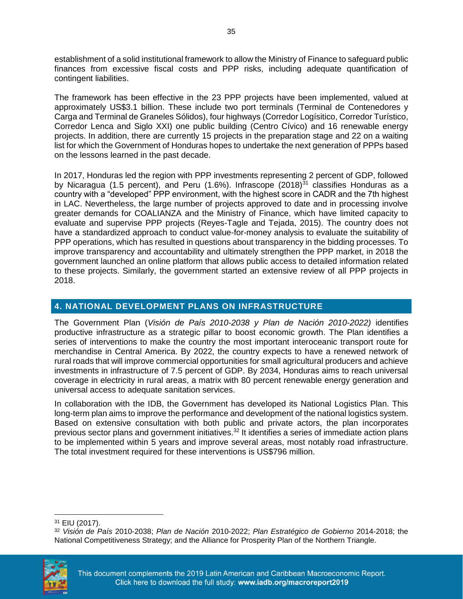establishment of a solid institutional framework to allow the Ministry of Finance to safeguard public finances from excessive fiscal costs and PPP risks, including adequate quantification of contingent liabilities.

The framework has been effective in the 23 PPP projects have been implemented, valued at approximately US\$3.1 billion. These include two port terminals (Terminal de Contenedores y Carga and Terminal de Graneles Sólidos), four highways (Corredor Logísitico, Corredor Turístico, Corredor Lenca and Siglo XXI) one public building (Centro Cívico) and 16 renewable energy projects. In addition, there are currently 15 projects in the preparation stage and 22 on a waiting list for which the Government of Honduras hopes to undertake the next generation of PPPs based on the lessons learned in the past decade.

In 2017, Honduras led the region with PPP investments representing 2 percent of GDP, followed by Nicaragua (1.5 percent), and Peru (1.6%). Infrascope (2018) $^{31}$  classifies Honduras as a country with a "developed" PPP environment, with the highest score in CADR and the 7th highest in LAC. Nevertheless, the large number of projects approved to date and in processing involve greater demands for COALIANZA and the Ministry of Finance, which have limited capacity to evaluate and supervise PPP projects (Reyes-Tagle and Tejada, 2015). The country does not have a standardized approach to conduct value-for-money analysis to evaluate the suitability of PPP operations, which has resulted in questions about transparency in the bidding processes. To improve transparency and accountability and ultimately strengthen the PPP market, in 2018 the government launched an online platform that allows public access to detailed information related to these projects. Similarly, the government started an extensive review of all PPP projects in 2018.

#### **4. NATIONAL DEVELOPMENT PLANS ON INFRASTRUCTURE**

The Government Plan (*Visión de País 2010-2038 y Plan de Nación 2010-2022)* identifies productive infrastructure as a strategic pillar to boost economic growth. The Plan identifies a series of interventions to make the country the most important interoceanic transport route for merchandise in Central America. By 2022, the country expects to have a renewed network of rural roads that will improve commercial opportunities for small agricultural producers and achieve investments in infrastructure of 7.5 percent of GDP. By 2034, Honduras aims to reach universal coverage in electricity in rural areas, a matrix with 80 percent renewable energy generation and universal access to adequate sanitation services.

In collaboration with the IDB, the Government has developed its National Logistics Plan. This long-term plan aims to improve the performance and development of the national logistics system. Based on extensive consultation with both public and private actors, the plan incorporates previous sector plans and government initiatives.<sup>32</sup> It identifies a series of immediate action plans to be implemented within 5 years and improve several areas, most notably road infrastructure. The total investment required for these interventions is US\$796 million.

<sup>32</sup> *Visión de País* 2010-2038; *Plan de Nación* 2010-2022; *Plan Estratégico de Gobierno* 2014-2018; the National Competitiveness Strategy; and the Alliance for Prosperity Plan of the Northern Triangle.



 $\overline{\phantom{a}}$ 

<sup>31</sup> EIU (2017).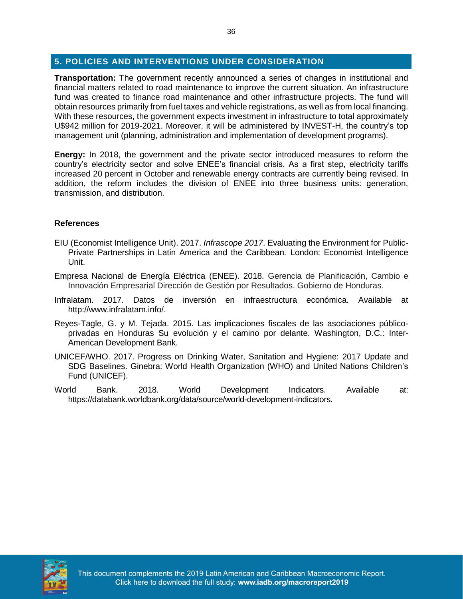#### **5. POLICIES AND INTERVENTIONS UNDER CONSIDERATION**

**Transportation:** The government recently announced a series of changes in institutional and financial matters related to road maintenance to improve the current situation. An infrastructure fund was created to finance road maintenance and other infrastructure projects. The fund will obtain resources primarily from fuel taxes and vehicle registrations, as well as from local financing. With these resources, the government expects investment in infrastructure to total approximately U\$942 million for 2019-2021. Moreover, it will be administered by INVEST-H, the country's top management unit (planning, administration and implementation of development programs).

**Energy:** In 2018, the government and the private sector introduced measures to reform the country's electricity sector and solve ENEE's financial crisis. As a first step, electricity tariffs increased 20 percent in October and renewable energy contracts are currently being revised. In addition, the reform includes the division of ENEE into three business units: generation, transmission, and distribution.

#### **References**

- EIU (Economist Intelligence Unit). 2017. *Infrascope 2017*. Evaluating the Environment for Public-Private Partnerships in Latin America and the Caribbean*.* London: Economist Intelligence Unit.
- Empresa Nacional de Energía Eléctrica (ENEE). 2018. Gerencia de Planificación, Cambio e Innovación Empresarial Dirección de Gestión por Resultados. Gobierno de Honduras.
- Infralatam. 2017. Datos de inversión en infraestructura económica. Available at http://www.infralatam.info/.
- Reyes-Tagle, G. y M. Tejada. 2015. Las implicaciones fiscales de las asociaciones públicoprivadas en Honduras Su evolución y el camino por delante. Washington, D.C.: Inter-American Development Bank.
- UNICEF/WHO. 2017. Progress on Drinking Water, Sanitation and Hygiene: 2017 Update and SDG Baselines. Ginebra: World Health Organization (WHO) and United Nations Children's Fund (UNICEF).
- World Bank. 2018. World Development Indicators. Available at: https://databank.worldbank.org/data/source/world-development-indicators.

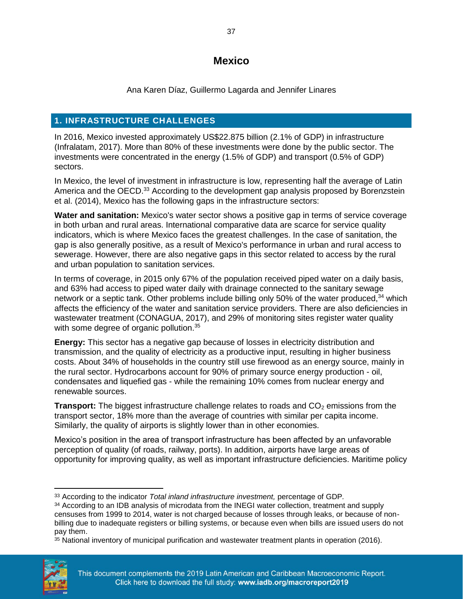## **Mexico**

Ana Karen Díaz, Guillermo Lagarda and Jennifer Linares

## <span id="page-39-0"></span>**1. INFRASTRUCTURE CHALLENGES**

In 2016, Mexico invested approximately US\$22.875 billion (2.1% of GDP) in infrastructure (Infralatam, 2017). More than 80% of these investments were done by the public sector. The investments were concentrated in the energy (1.5% of GDP) and transport (0.5% of GDP) sectors.

In Mexico, the level of investment in infrastructure is low, representing half the average of Latin America and the OECD.<sup>33</sup> According to the development gap analysis proposed by Borenzstein et al. (2014), Mexico has the following gaps in the infrastructure sectors:

**Water and sanitation:** Mexico's water sector shows a positive gap in terms of service coverage in both urban and rural areas. International comparative data are scarce for service quality indicators, which is where Mexico faces the greatest challenges. In the case of sanitation, the gap is also generally positive, as a result of Mexico's performance in urban and rural access to sewerage. However, there are also negative gaps in this sector related to access by the rural and urban population to sanitation services.

In terms of coverage, in 2015 only 67% of the population received piped water on a daily basis, and 63% had access to piped water daily with drainage connected to the sanitary sewage network or a septic tank. Other problems include billing only 50% of the water produced,<sup>34</sup> which affects the efficiency of the water and sanitation service providers. There are also deficiencies in wastewater treatment (CONAGUA, 2017), and 29% of monitoring sites register water quality with some degree of organic pollution.<sup>35</sup>

**Energy:** This sector has a negative gap because of losses in electricity distribution and transmission, and the quality of electricity as a productive input, resulting in higher business costs. About 34% of households in the country still use firewood as an energy source, mainly in the rural sector. Hydrocarbons account for 90% of primary source energy production - oil, condensates and liquefied gas - while the remaining 10% comes from nuclear energy and renewable sources.

**Transport:** The biggest infrastructure challenge relates to roads and CO<sub>2</sub> emissions from the transport sector, 18% more than the average of countries with similar per capita income. Similarly, the quality of airports is slightly lower than in other economies.

Mexico's position in the area of transport infrastructure has been affected by an unfavorable perception of quality (of roads, railway, ports). In addition, airports have large areas of opportunity for improving quality, as well as important infrastructure deficiencies. Maritime policy

 $35$  National inventory of municipal purification and wastewater treatment plants in operation (2016).



 $\overline{\phantom{a}}$ <sup>33</sup> According to the indicator *Total inland infrastructure investment,* percentage of GDP*.*

<sup>&</sup>lt;sup>34</sup> According to an IDB analysis of microdata from the INEGI water collection, treatment and supply censuses from 1999 to 2014, water is not charged because of losses through leaks, or because of nonbilling due to inadequate registers or billing systems, or because even when bills are issued users do not pay them.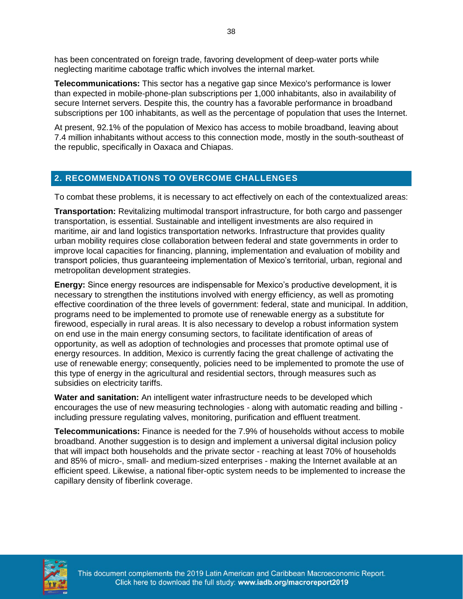has been concentrated on foreign trade, favoring development of deep-water ports while neglecting maritime cabotage traffic which involves the internal market.

**Telecommunications:** This sector has a negative gap since Mexico's performance is lower than expected in mobile-phone-plan subscriptions per 1,000 inhabitants, also in availability of secure Internet servers. Despite this, the country has a favorable performance in broadband subscriptions per 100 inhabitants, as well as the percentage of population that uses the Internet.

At present, 92.1% of the population of Mexico has access to mobile broadband, leaving about 7.4 million inhabitants without access to this connection mode, mostly in the south-southeast of the republic, specifically in Oaxaca and Chiapas.

#### **2. RECOMMENDATIONS TO OVERCOME CHALLENGES**

To combat these problems, it is necessary to act effectively on each of the contextualized areas:

**Transportation:** Revitalizing multimodal transport infrastructure, for both cargo and passenger transportation, is essential. Sustainable and intelligent investments are also required in maritime, air and land logistics transportation networks. Infrastructure that provides quality urban mobility requires close collaboration between federal and state governments in order to improve local capacities for financing, planning, implementation and evaluation of mobility and transport policies, thus guaranteeing implementation of Mexico's territorial, urban, regional and metropolitan development strategies.

**Energy:** Since energy resources are indispensable for Mexico's productive development, it is necessary to strengthen the institutions involved with energy efficiency, as well as promoting effective coordination of the three levels of government: federal, state and municipal. In addition, programs need to be implemented to promote use of renewable energy as a substitute for firewood, especially in rural areas. It is also necessary to develop a robust information system on end use in the main energy consuming sectors, to facilitate identification of areas of opportunity, as well as adoption of technologies and processes that promote optimal use of energy resources. In addition, Mexico is currently facing the great challenge of activating the use of renewable energy; consequently, policies need to be implemented to promote the use of this type of energy in the agricultural and residential sectors, through measures such as subsidies on electricity tariffs.

**Water and sanitation:** An intelligent water infrastructure needs to be developed which encourages the use of new measuring technologies - along with automatic reading and billing including pressure regulating valves, monitoring, purification and effluent treatment.

**Telecommunications:** Finance is needed for the 7.9% of households without access to mobile broadband. Another suggestion is to design and implement a universal digital inclusion policy that will impact both households and the private sector - reaching at least 70% of households and 85% of micro-, small- and medium-sized enterprises - making the Internet available at an efficient speed. Likewise, a national fiber-optic system needs to be implemented to increase the capillary density of fiberlink coverage.



This document complements the 2019 Latin American and Caribbean Macroeconomic Report. Click here to download the full study: www.iadb.org/macroreport2019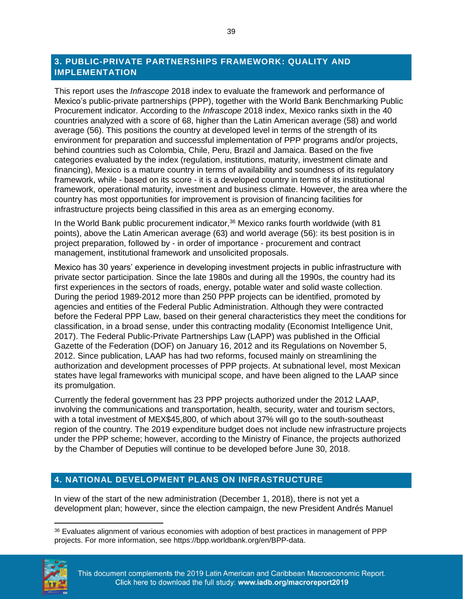#### **3. PUBLIC-PRIVATE PARTNERSHIPS FRAMEWORK: QUALITY AND IMPLEMENTATION**

This report uses the *Infrascope* 2018 index to evaluate the framework and performance of Mexico's public-private partnerships (PPP), together with the World Bank Benchmarking Public Procurement indicator. According to the *Infrascope* 2018 index, Mexico ranks sixth in the 40 countries analyzed with a score of 68, higher than the Latin American average (58) and world average (56). This positions the country at developed level in terms of the strength of its environment for preparation and successful implementation of PPP programs and/or projects, behind countries such as Colombia, Chile, Peru, Brazil and Jamaica. Based on the five categories evaluated by the index (regulation, institutions, maturity, investment climate and financing), Mexico is a mature country in terms of availability and soundness of its regulatory framework, while - based on its score - it is a developed country in terms of its institutional framework, operational maturity, investment and business climate. However, the area where the country has most opportunities for improvement is provision of financing facilities for infrastructure projects being classified in this area as an emerging economy.

In the World Bank public procurement indicator,<sup>36</sup> Mexico ranks fourth worldwide (with 81 points), above the Latin American average (63) and world average (56): its best position is in project preparation, followed by - in order of importance - procurement and contract management, institutional framework and unsolicited proposals.

Mexico has 30 years' experience in developing investment projects in public infrastructure with private sector participation. Since the late 1980s and during all the 1990s, the country had its first experiences in the sectors of roads, energy, potable water and solid waste collection. During the period 1989-2012 more than 250 PPP projects can be identified, promoted by agencies and entities of the Federal Public Administration. Although they were contracted before the Federal PPP Law, based on their general characteristics they meet the conditions for classification, in a broad sense, under this contracting modality (Economist Intelligence Unit, 2017). The Federal Public-Private Partnerships Law (LAPP) was published in the Official Gazette of the Federation (DOF) on January 16, 2012 and its Regulations on November 5, 2012. Since publication, LAAP has had two reforms, focused mainly on streamlining the authorization and development processes of PPP projects. At subnational level, most Mexican states have legal frameworks with municipal scope, and have been aligned to the LAAP since its promulgation.

Currently the federal government has 23 PPP projects authorized under the 2012 LAAP, involving the communications and transportation, health, security, water and tourism sectors, with a total investment of MEX\$45,800, of which about 37% will go to the south-southeast region of the country. The 2019 expenditure budget does not include new infrastructure projects under the PPP scheme; however, according to the Ministry of Finance, the projects authorized by the Chamber of Deputies will continue to be developed before June 30, 2018.

#### **4. NATIONAL DEVELOPMENT PLANS ON INFRASTRUCTURE**

In view of the start of the new administration (December 1, 2018), there is not yet a development plan; however, since the election campaign, the new President Andrés Manuel

<sup>36</sup> Evaluates alignment of various economies with adoption of best practices in management of PPP projects. For more information, see https://bpp.worldbank.org/en/BPP-data.



 $\overline{a}$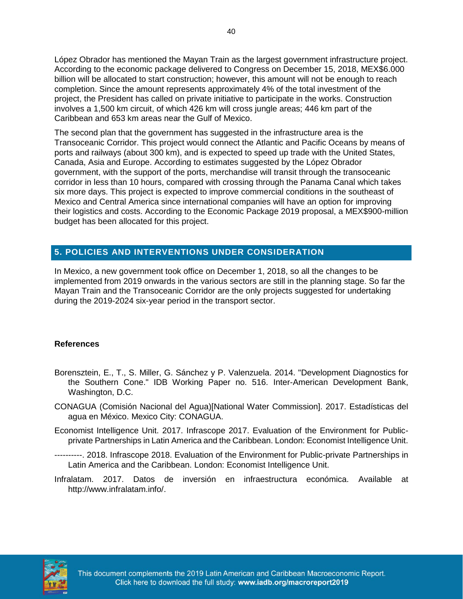López Obrador has mentioned the Mayan Train as the largest government infrastructure project. According to the economic package delivered to Congress on December 15, 2018, MEX\$6.000 billion will be allocated to start construction; however, this amount will not be enough to reach completion. Since the amount represents approximately 4% of the total investment of the project, the President has called on private initiative to participate in the works. Construction involves a 1,500 km circuit, of which 426 km will cross jungle areas; 446 km part of the Caribbean and 653 km areas near the Gulf of Mexico.

The second plan that the government has suggested in the infrastructure area is the Transoceanic Corridor. This project would connect the Atlantic and Pacific Oceans by means of ports and railways (about 300 km), and is expected to speed up trade with the United States, Canada, Asia and Europe. According to estimates suggested by the López Obrador government, with the support of the ports, merchandise will transit through the transoceanic corridor in less than 10 hours, compared with crossing through the Panama Canal which takes six more days. This project is expected to improve commercial conditions in the southeast of Mexico and Central America since international companies will have an option for improving their logistics and costs. According to the Economic Package 2019 proposal, a MEX\$900-million budget has been allocated for this project.

#### **5. POLICIES AND INTERVENTIONS UNDER CONSIDERATION**

In Mexico, a new government took office on December 1, 2018, so all the changes to be implemented from 2019 onwards in the various sectors are still in the planning stage. So far the Mayan Train and the Transoceanic Corridor are the only projects suggested for undertaking during the 2019-2024 six-year period in the transport sector.

#### **References**

- Borensztein, E., T., S. Miller, G. Sánchez y P. Valenzuela. 2014. "Development Diagnostics for the Southern Cone." IDB Working Paper no. 516. Inter-American Development Bank, Washington, D.C.
- CONAGUA (Comisión Nacional del Agua)[National Water Commission]. 2017. Estadísticas del agua en México. Mexico City: CONAGUA.
- Economist Intelligence Unit. 2017. Infrascope 2017. Evaluation of the Environment for Publicprivate Partnerships in Latin America and the Caribbean. London: Economist Intelligence Unit.
- ----------. 2018. Infrascope 2018. Evaluation of the Environment for Public-private Partnerships in Latin America and the Caribbean. London: Economist Intelligence Unit.
- Infralatam. 2017. Datos de inversión en infraestructura económica. Available at http://www.infralatam.info/.

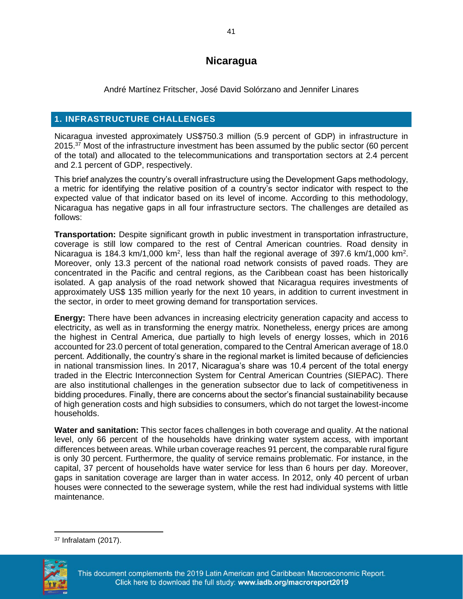## **Nicaragua**

André Martínez Fritscher, José David Solórzano and Jennifer Linares

### <span id="page-43-0"></span>**1. INFRASTRUCTURE CHALLENGES**

Nicaragua invested approximately US\$750.3 million (5.9 percent of GDP) in infrastructure in  $2015.<sup>37</sup>$  Most of the infrastructure investment has been assumed by the public sector (60 percent of the total) and allocated to the telecommunications and transportation sectors at 2.4 percent and 2.1 percent of GDP, respectively.

This brief analyzes the country's overall infrastructure using the Development Gaps methodology, a metric for identifying the relative position of a country's sector indicator with respect to the expected value of that indicator based on its level of income. According to this methodology, Nicaragua has negative gaps in all four infrastructure sectors. The challenges are detailed as follows:

**Transportation:** Despite significant growth in public investment in transportation infrastructure, coverage is still low compared to the rest of Central American countries. Road density in Nicaragua is 184.3 km/1,000 km<sup>2</sup>, less than half the regional average of 397.6 km/1,000 km<sup>2</sup>. Moreover, only 13.3 percent of the national road network consists of paved roads. They are concentrated in the Pacific and central regions, as the Caribbean coast has been historically isolated. A gap analysis of the road network showed that Nicaragua requires investments of approximately US\$ 135 million yearly for the next 10 years, in addition to current investment in the sector, in order to meet growing demand for transportation services.

**Energy:** There have been advances in increasing electricity generation capacity and access to electricity, as well as in transforming the energy matrix. Nonetheless, energy prices are among the highest in Central America, due partially to high levels of energy losses, which in 2016 accounted for 23.0 percent of total generation, compared to the Central American average of 18.0 percent. Additionally, the country's share in the regional market is limited because of deficiencies in national transmission lines. In 2017, Nicaragua's share was 10.4 percent of the total energy traded in the Electric Interconnection System for Central American Countries (SIEPAC). There are also institutional challenges in the generation subsector due to lack of competitiveness in bidding procedures. Finally, there are concerns about the sector's financial sustainability because of high generation costs and high subsidies to consumers, which do not target the lowest-income households.

**Water and sanitation:** This sector faces challenges in both coverage and quality. At the national level, only 66 percent of the households have drinking water system access, with important differences between areas. While urban coverage reaches 91 percent, the comparable rural figure is only 30 percent. Furthermore, the quality of service remains problematic. For instance, in the capital, 37 percent of households have water service for less than 6 hours per day. Moreover, gaps in sanitation coverage are larger than in water access. In 2012, only 40 percent of urban houses were connected to the sewerage system, while the rest had individual systems with little maintenance.

 $\overline{\phantom{a}}$ <sup>37</sup> Infralatam (2017).

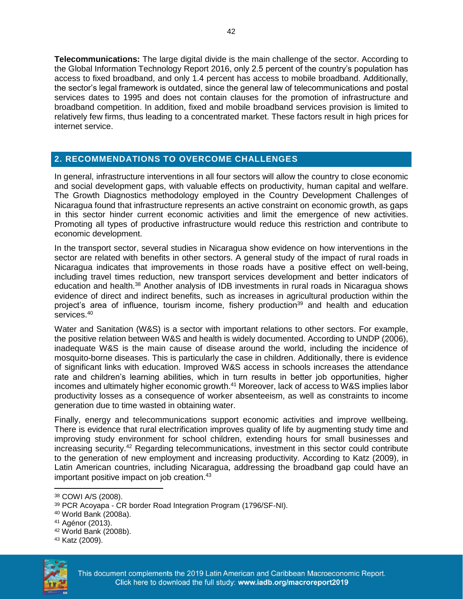**Telecommunications:** The large digital divide is the main challenge of the sector. According to the Global Information Technology Report 2016, only 2.5 percent of the country's population has access to fixed broadband, and only 1.4 percent has access to mobile broadband. Additionally, the sector's legal framework is outdated, since the general law of telecommunications and postal services dates to 1995 and does not contain clauses for the promotion of infrastructure and broadband competition. In addition, fixed and mobile broadband services provision is limited to relatively few firms, thus leading to a concentrated market. These factors result in high prices for internet service.

#### **2. RECOMMENDATIONS TO OVERCOME CHALLENGES**

In general, infrastructure interventions in all four sectors will allow the country to close economic and social development gaps, with valuable effects on productivity, human capital and welfare. The Growth Diagnostics methodology employed in the Country Development Challenges of Nicaragua found that infrastructure represents an active constraint on economic growth, as gaps in this sector hinder current economic activities and limit the emergence of new activities. Promoting all types of productive infrastructure would reduce this restriction and contribute to economic development.

In the transport sector, several studies in Nicaragua show evidence on how interventions in the sector are related with benefits in other sectors. A general study of the impact of rural roads in Nicaragua indicates that improvements in those roads have a positive effect on well-being, including travel times reduction, new transport services development and better indicators of education and health.<sup>38</sup> Another analysis of IDB investments in rural roads in Nicaragua shows evidence of direct and indirect benefits, such as increases in agricultural production within the project's area of influence, tourism income, fishery production<sup>39</sup> and health and education services.<sup>40</sup>

Water and Sanitation (W&S) is a sector with important relations to other sectors. For example, the positive relation between W&S and health is widely documented. According to UNDP (2006), inadequate W&S is the main cause of disease around the world, including the incidence of mosquito-borne diseases. This is particularly the case in children. Additionally, there is evidence of significant links with education. Improved W&S access in schools increases the attendance rate and children's learning abilities, which in turn results in better job opportunities, higher incomes and ultimately higher economic growth.<sup>41</sup> Moreover, lack of access to W&S implies labor productivity losses as a consequence of worker absenteeism, as well as constraints to income generation due to time wasted in obtaining water.

Finally, energy and telecommunications support economic activities and improve wellbeing. There is evidence that rural electrification improves quality of life by augmenting study time and improving study environment for school children, extending hours for small businesses and increasing security.<sup>42</sup> Regarding telecommunications, investment in this sector could contribute to the generation of new employment and increasing productivity. According to Katz (2009), in Latin American countries, including Nicaragua, addressing the broadband gap could have an important positive impact on job creation.<sup>43</sup>

<sup>43</sup> Katz (2009).



 $\overline{\phantom{a}}$ 

<sup>38</sup> COWI A/S (2008).

<sup>39</sup> PCR Acoyapa - CR border Road Integration Program (1796/SF-NI).

<sup>40</sup> World Bank (2008a).

<sup>41</sup> Agénor (2013).

<sup>42</sup> World Bank (2008b).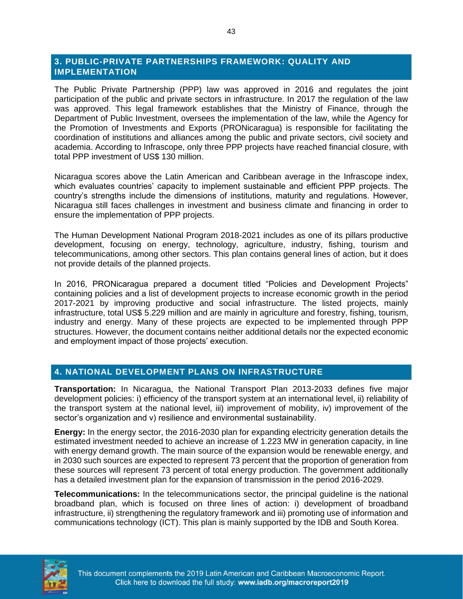#### **3. PUBLIC-PRIVATE PARTNERSHIPS FRAMEWORK: QUALITY AND IMPLEMENTATION**

The Public Private Partnership (PPP) law was approved in 2016 and regulates the joint participation of the public and private sectors in infrastructure. In 2017 the regulation of the law was approved. This legal framework establishes that the Ministry of Finance, through the Department of Public Investment, oversees the implementation of the law, while the Agency for the Promotion of Investments and Exports (PRONicaragua) is responsible for facilitating the coordination of institutions and alliances among the public and private sectors, civil society and academia. According to Infrascope, only three PPP projects have reached financial closure, with total PPP investment of US\$ 130 million.

Nicaragua scores above the Latin American and Caribbean average in the Infrascope index, which evaluates countries' capacity to implement sustainable and efficient PPP projects. The country's strengths include the dimensions of institutions, maturity and regulations. However, Nicaragua still faces challenges in investment and business climate and financing in order to ensure the implementation of PPP projects.

The Human Development National Program 2018-2021 includes as one of its pillars productive development, focusing on energy, technology, agriculture, industry, fishing, tourism and telecommunications, among other sectors. This plan contains general lines of action, but it does not provide details of the planned projects.

In 2016, PRONicaragua prepared a document titled "Policies and Development Projects" containing policies and a list of development projects to increase economic growth in the period 2017-2021 by improving productive and social infrastructure. The listed projects, mainly infrastructure, total US\$ 5.229 million and are mainly in agriculture and forestry, fishing, tourism, industry and energy. Many of these projects are expected to be implemented through PPP structures. However, the document contains neither additional details nor the expected economic and employment impact of those projects' execution.

#### **4. NATIONAL DEVELOPMENT PLANS ON INFRASTRUCTURE**

**Transportation:** In Nicaragua, the National Transport Plan 2013-2033 defines five major development policies: i) efficiency of the transport system at an international level, ii) reliability of the transport system at the national level, iii) improvement of mobility, iv) improvement of the sector's organization and v) resilience and environmental sustainability.

**Energy:** In the energy sector, the 2016-2030 plan for expanding electricity generation details the estimated investment needed to achieve an increase of 1.223 MW in generation capacity, in line with energy demand growth. The main source of the expansion would be renewable energy, and in 2030 such sources are expected to represent 73 percent that the proportion of generation from these sources will represent 73 percent of total energy production. The government additionally has a detailed investment plan for the expansion of transmission in the period 2016-2029.

**Telecommunications:** In the telecommunications sector, the principal guideline is the national broadband plan, which is focused on three lines of action: i) development of broadband infrastructure, ii) strengthening the regulatory framework and iii) promoting use of information and communications technology (ICT). This plan is mainly supported by the IDB and South Korea.

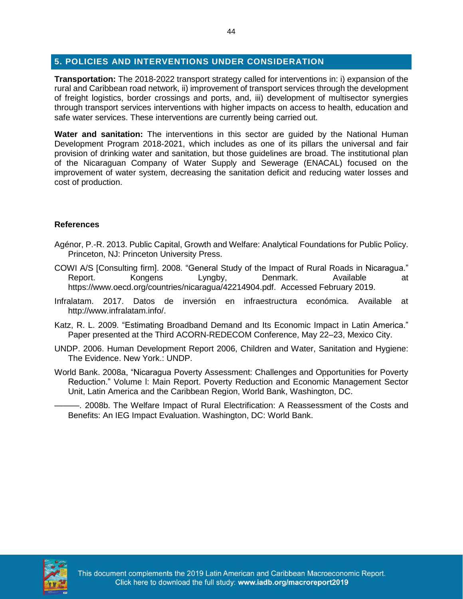#### **5. POLICIES AND INTERVENTIONS UNDER CONSIDERATION**

**Transportation:** The 2018-2022 transport strategy called for interventions in: i) expansion of the rural and Caribbean road network, ii) improvement of transport services through the development of freight logistics, border crossings and ports, and, iii) development of multisector synergies through transport services interventions with higher impacts on access to health, education and safe water services. These interventions are currently being carried out.

**Water and sanitation:** The interventions in this sector are guided by the National Human Development Program 2018-2021, which includes as one of its pillars the universal and fair provision of drinking water and sanitation, but those guidelines are broad. The institutional plan of the Nicaraguan Company of Water Supply and Sewerage (ENACAL) focused on the improvement of water system, decreasing the sanitation deficit and reducing water losses and cost of production.

#### **References**

- Agénor, P.-R. 2013. Public Capital, Growth and Welfare: Analytical Foundations for Public Policy. Princeton, NJ: Princeton University Press.
- COWI A/S [Consulting firm]. 2008. "General Study of the Impact of Rural Roads in Nicaragua." Report. Kongens Lyngby, Denmark. Available at https://www.oecd.org/countries/nicaragua/42214904.pdf. Accessed February 2019.
- Infralatam. 2017. Datos de inversión en infraestructura económica. Available at http://www.infralatam.info/.
- Katz, R. L. 2009. "Estimating Broadband Demand and Its Economic Impact in Latin America." Paper presented at the Third ACORN-REDECOM Conference, May 22–23, Mexico City.
- UNDP. 2006. Human Development Report 2006, Children and Water, Sanitation and Hygiene: The Evidence. New York.: UNDP.
- World Bank. 2008a, "Nicaragua Poverty Assessment: Challenges and Opportunities for Poverty Reduction." Volume l: Main Report. Poverty Reduction and Economic Management Sector Unit, Latin America and the Caribbean Region, World Bank, Washington, DC.
	- -. 2008b. The Welfare Impact of Rural Electrification: A Reassessment of the Costs and Benefits: An IEG Impact Evaluation. Washington, DC: World Bank.

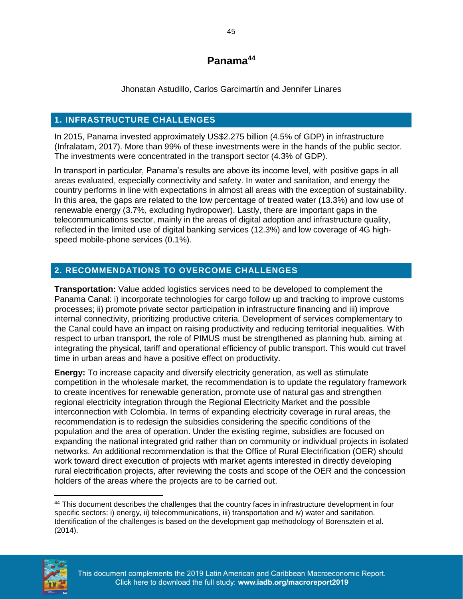## **Panama<sup>44</sup>**

Jhonatan Astudillo, Carlos Garcimartín and Jennifer Linares

### <span id="page-47-0"></span>**1. INFRASTRUCTURE CHALLENGES**

In 2015, Panama invested approximately US\$2.275 billion (4.5% of GDP) in infrastructure (Infralatam, 2017). More than 99% of these investments were in the hands of the public sector. The investments were concentrated in the transport sector (4.3% of GDP).

In transport in particular, Panama's results are above its income level, with positive gaps in all areas evaluated, especially connectivity and safety. In water and sanitation, and energy the country performs in line with expectations in almost all areas with the exception of sustainability. In this area, the gaps are related to the low percentage of treated water (13.3%) and low use of renewable energy (3.7%, excluding hydropower). Lastly, there are important gaps in the telecommunications sector, mainly in the areas of digital adoption and infrastructure quality, reflected in the limited use of digital banking services (12.3%) and low coverage of 4G highspeed mobile-phone services (0.1%).

### **2. RECOMMENDATIONS TO OVERCOME CHALLENGES**

**Transportation:** Value added logistics services need to be developed to complement the Panama Canal: i) incorporate technologies for cargo follow up and tracking to improve customs processes; ii) promote private sector participation in infrastructure financing and iii) improve internal connectivity, prioritizing productive criteria. Development of services complementary to the Canal could have an impact on raising productivity and reducing territorial inequalities. With respect to urban transport, the role of PIMUS must be strengthened as planning hub, aiming at integrating the physical, tariff and operational efficiency of public transport. This would cut travel time in urban areas and have a positive effect on productivity.

**Energy:** To increase capacity and diversify electricity generation, as well as stimulate competition in the wholesale market, the recommendation is to update the regulatory framework to create incentives for renewable generation, promote use of natural gas and strengthen regional electricity integration through the Regional Electricity Market and the possible interconnection with Colombia. In terms of expanding electricity coverage in rural areas, the recommendation is to redesign the subsidies considering the specific conditions of the population and the area of operation. Under the existing regime, subsidies are focused on expanding the national integrated grid rather than on community or individual projects in isolated networks. An additional recommendation is that the Office of Rural Electrification (OER) should work toward direct execution of projects with market agents interested in directly developing rural electrification projects, after reviewing the costs and scope of the OER and the concession holders of the areas where the projects are to be carried out.

 $\overline{a}$ <sup>44</sup> This document describes the challenges that the country faces in infrastructure development in four specific sectors: i) energy, ii) telecommunications, iii) transportation and iv) water and sanitation. Identification of the challenges is based on the development gap methodology of Borensztein et al. (2014).

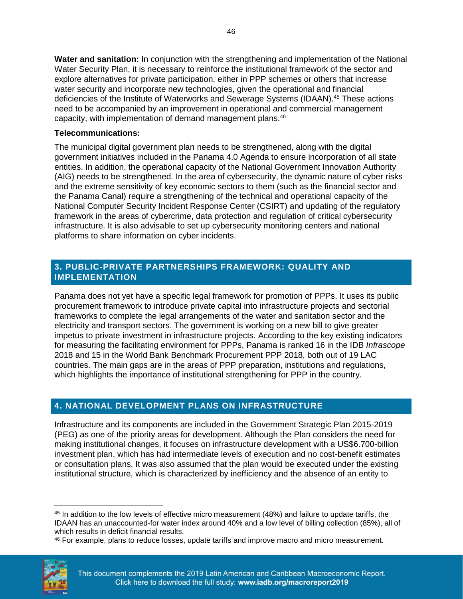**Water and sanitation:** In conjunction with the strengthening and implementation of the National Water Security Plan, it is necessary to reinforce the institutional framework of the sector and explore alternatives for private participation, either in PPP schemes or others that increase water security and incorporate new technologies, given the operational and financial deficiencies of the Institute of Waterworks and Sewerage Systems (IDAAN). <sup>45</sup> These actions need to be accompanied by an improvement in operational and commercial management capacity, with implementation of demand management plans.<sup>46</sup>

#### **Telecommunications:**

The municipal digital government plan needs to be strengthened, along with the digital government initiatives included in the Panama 4.0 Agenda to ensure incorporation of all state entities. In addition, the operational capacity of the National Government Innovation Authority (AIG) needs to be strengthened. In the area of cybersecurity, the dynamic nature of cyber risks and the extreme sensitivity of key economic sectors to them (such as the financial sector and the Panama Canal) require a strengthening of the technical and operational capacity of the National Computer Security Incident Response Center (CSIRT) and updating of the regulatory framework in the areas of cybercrime, data protection and regulation of critical cybersecurity infrastructure. It is also advisable to set up cybersecurity monitoring centers and national platforms to share information on cyber incidents.

#### **3. PUBLIC-PRIVATE PARTNERSHIPS FRAMEWORK: QUALITY AND IMPLEMENTATION**

Panama does not yet have a specific legal framework for promotion of PPPs. It uses its public procurement framework to introduce private capital into infrastructure projects and sectorial frameworks to complete the legal arrangements of the water and sanitation sector and the electricity and transport sectors. The government is working on a new bill to give greater impetus to private investment in infrastructure projects. According to the key existing indicators for measuring the facilitating environment for PPPs, Panama is ranked 16 in the IDB *Infrascope* 2018 and 15 in the World Bank Benchmark Procurement PPP 2018, both out of 19 LAC countries. The main gaps are in the areas of PPP preparation, institutions and regulations, which highlights the importance of institutional strengthening for PPP in the country.

#### **4. NATIONAL DEVELOPMENT PLANS ON INFRASTRUCTURE**

Infrastructure and its components are included in the Government Strategic Plan 2015-2019 (PEG) as one of the priority areas for development. Although the Plan considers the need for making institutional changes, it focuses on infrastructure development with a US\$6.700-billion investment plan, which has had intermediate levels of execution and no cost-benefit estimates or consultation plans. It was also assumed that the plan would be executed under the existing institutional structure, which is characterized by inefficiency and the absence of an entity to

<sup>46</sup> For example, plans to reduce losses, update tariffs and improve macro and micro measurement.



 $\overline{a}$ <sup>45</sup> In addition to the low levels of effective micro measurement (48%) and failure to update tariffs, the IDAAN has an unaccounted-for water index around 40% and a low level of billing collection (85%), all of which results in deficit financial results.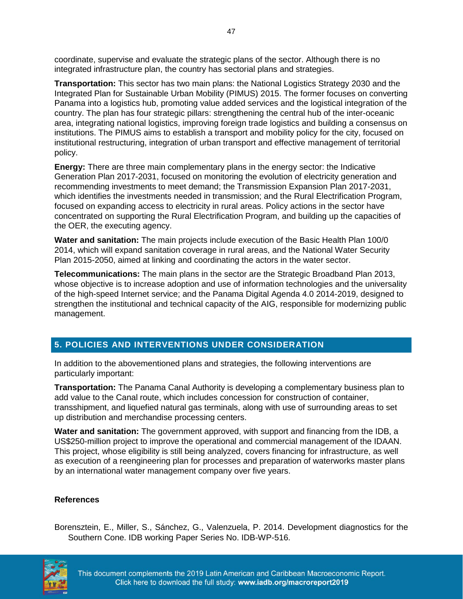coordinate, supervise and evaluate the strategic plans of the sector. Although there is no integrated infrastructure plan, the country has sectorial plans and strategies.

**Transportation:** This sector has two main plans: the National Logistics Strategy 2030 and the Integrated Plan for Sustainable Urban Mobility (PIMUS) 2015. The former focuses on converting Panama into a logistics hub, promoting value added services and the logistical integration of the country. The plan has four strategic pillars: strengthening the central hub of the inter-oceanic area, integrating national logistics, improving foreign trade logistics and building a consensus on institutions. The PIMUS aims to establish a transport and mobility policy for the city, focused on institutional restructuring, integration of urban transport and effective management of territorial policy.

**Energy:** There are three main complementary plans in the energy sector: the Indicative Generation Plan 2017-2031, focused on monitoring the evolution of electricity generation and recommending investments to meet demand; the Transmission Expansion Plan 2017-2031, which identifies the investments needed in transmission; and the Rural Electrification Program, focused on expanding access to electricity in rural areas. Policy actions in the sector have concentrated on supporting the Rural Electrification Program, and building up the capacities of the OER, the executing agency.

**Water and sanitation:** The main projects include execution of the Basic Health Plan 100/0 2014, which will expand sanitation coverage in rural areas, and the National Water Security Plan 2015-2050, aimed at linking and coordinating the actors in the water sector.

**Telecommunications:** The main plans in the sector are the Strategic Broadband Plan 2013, whose objective is to increase adoption and use of information technologies and the universality of the high-speed Internet service; and the Panama Digital Agenda 4.0 2014-2019, designed to strengthen the institutional and technical capacity of the AIG, responsible for modernizing public management.

#### **5. POLICIES AND INTERVENTIONS UNDER CONSIDERATION**

In addition to the abovementioned plans and strategies, the following interventions are particularly important:

**Transportation:** The Panama Canal Authority is developing a complementary business plan to add value to the Canal route, which includes concession for construction of container, transshipment, and liquefied natural gas terminals, along with use of surrounding areas to set up distribution and merchandise processing centers.

**Water and sanitation:** The government approved, with support and financing from the IDB, a US\$250-million project to improve the operational and commercial management of the IDAAN. This project, whose eligibility is still being analyzed, covers financing for infrastructure, as well as execution of a reengineering plan for processes and preparation of waterworks master plans by an international water management company over five years.

#### **References**

Borensztein, E., Miller, S., Sánchez, G., Valenzuela, P. 2014. Development diagnostics for the Southern Cone. IDB working Paper Series No. IDB-WP-516.